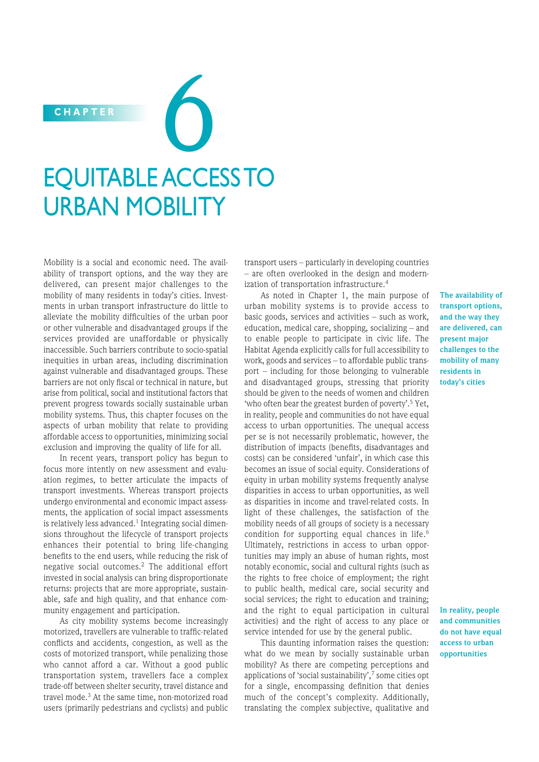# EQUITABLE ACCESS TO URBAN MOBILITY CHAPTER **600**

Mobility is a social and economic need. The availability of transport options, and the way they are delivered, can present major challenges to the mobility of many residents in today's cities. Investments in urban transport infrastructure do little to alleviate the mobility difficulties of the urban poor or other vulnerable and disadvantaged groups if the services provided are unaffordable or physically inaccessible. Such barriers contribute to socio-spatial inequities in urban areas, including discrimination against vulnerable and disadvantaged groups. These barriers are not only fiscal or technical in nature, but arise from political, social and institutional factors that prevent progress towards socially sustainable urban mobility systems. Thus, this chapter focuses on the aspects of urban mobility that relate to providing affordable access to opportunities, minimizing social exclusion and improving the quality of life for all.

In recent years, transport policy has begun to focus more intently on new assessment and evaluation regimes, to better articulate the impacts of transport investments. Whereas transport projects undergo environmental and economic impact assessments, the application of social impact assessments is relatively less advanced.<sup>1</sup> Integrating social dimensions throughout the lifecycle of transport projects enhances their potential to bring life-changing benefits to the end users, while reducing the risk of negative social outcomes.2 The additional effort invested in social analysis can bring disproportionate returns: projects that are more appropriate, sustainable, safe and high quality, and that enhance community engagement and participation.

As city mobility systems become increasingly motorized, travellers are vulnerable to traffic-related conflicts and accidents, congestion, as well as the costs of motorized transport, while penalizing those who cannot afford a car. Without a good public trans portation system, travellers face a complex trade-off between shelter security, travel distance and travel mode.3 At the same time, non-motorized road users (primarily pedestrians and cyclists) and public

transport users – particularly in developing countries – are often overlooked in the design and modernization of transportation infrastructure.<sup>4</sup>

As noted in Chapter 1, the main purpose of urban mobility systems is to provide access to basic goods, services and activities – such as work, education, medical care, shopping, socializing – and to enable people to participate in civic life. The Habitat Agenda explicitly calls for full accessibility to work, goods and services – to affordable public transport – including for those belonging to vulnerable and disadvantaged groups, stressing that priority should be given to the needs of women and children 'who often bear the greatest burden of poverty'.<sup>5</sup> Yet, in reality, people and communities do not have equal access to urban opportunities. The unequal access per se is not necessarily problematic, however, the distribution of impacts (benefits, disadvantages and costs) can be considered 'unfair', in which case this becomes an issue of social equity. Considerations of equity in urban mobility systems frequently analyse disparities in access to urban opportunities, as well as disparities in income and travel-related costs. In light of these challenges, the satisfaction of the mobility needs of all groups of society is a necessary condition for supporting equal chances in life.<sup>6</sup> Ultimately, restrictions in access to urban opportunities may imply an abuse of human rights, most notably economic, social and cultural rights (such as the rights to free choice of employment; the right to public health, medical care, social security and social services; the right to education and training; and the right to equal participation in cultural activities) and the right of access to any place or service intended for use by the general public.

This daunting information raises the question: what do we mean by socially sustainable urban mobility? As there are competing perceptions and applications of 'social sustainability', $\frac{7}{7}$  some cities opt for a single, encompassing definition that denies much of the concept's complexity. Additionally, translating the complex subjective, qualitative and

**The availability of transport options, and the way they are delivered, can present major challenges to the mobility of many residents in today's cities**

**In reality, people and communities do not have equal access to urban opportunities**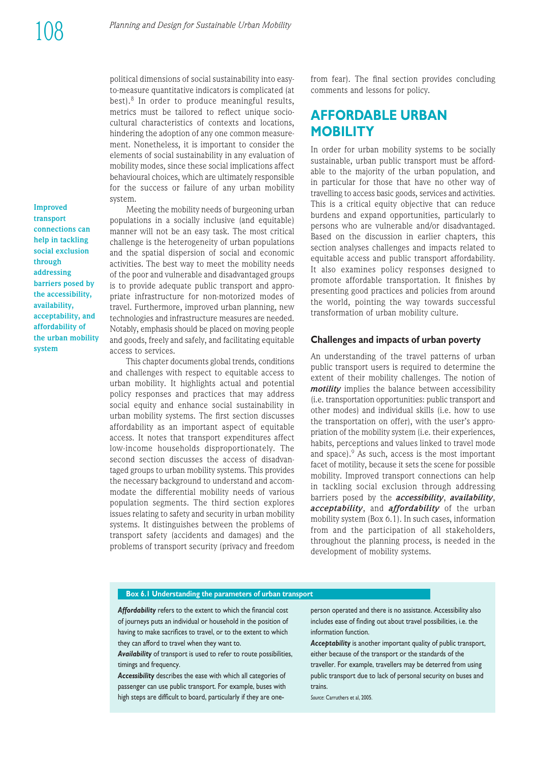political dimensions of social sustainability into easyto-measure quantitative indicators is complicated (at best).8 In order to produce meaningful results, metrics must be tailored to reflect unique sociocultural characteristics of contexts and locations, hindering the adoption of any one common measurement. Nonetheless, it is important to consider the elements of social sustainability in any evaluation of mobility modes, since these social implications affect behavioural choices, which are ultimately responsible for the success or failure of any urban mobility system.

**Improved transport connections can help in tackling social exclusion through addressing barriers posed by the accessibility, availability, acceptability, and affordability of the urban mobility system**

Meeting the mobility needs of burgeoning urban populations in a socially inclusive (and equitable) manner will not be an easy task. The most critical challenge is the heterogeneity of urban populations and the spatial dispersion of social and economic activities. The best way to meet the mobility needs of the poor and vulnerable and disadvantaged groups is to provide adequate public transport and appropriate infrastructure for non-motorized modes of travel. Furthermore, improved urban planning, new technologies and infrastructure measures are needed. Notably, emphasis should be placed on moving people and goods, freely and safely, and facilitating equitable access to services.

This chapter documents global trends, conditions and challenges with respect to equitable access to urban mobility. It highlights actual and potential policy responses and practices that may address social equity and enhance social sustainability in urban mobility systems. The first section discusses affordability as an important aspect of equitable access. It notes that transport expenditures affect low-income households disproportionately. The second section discusses the access of disadvantaged groups to urban mobility systems. This provides the necessary background to understand and accommodate the differential mobility needs of various population segments. The third section explores issues relating to safety and security in urban mobility systems. It distinguishes between the problems of trans port safety (accidents and damages) and the problems of transport security (privacy and freedom from fear). The final section provides concluding comments and lessons for policy.

# **AFFORDABLE URBAN MOBILITY**

In order for urban mobility systems to be socially sustainable, urban public transport must be affordable to the majority of the urban population, and in particular for those that have no other way of travelling to access basic goods, services and activities. This is a critical equity objective that can reduce burdens and expand opportunities, particularly to persons who are vulnerable and/or disadvantaged. Based on the discussion in earlier chapters, this section analyses challenges and impacts related to equitable access and public transport affordability. It also examines policy responses designed to promote affordable transportation. It finishes by presenting good practices and policies from around the world, pointing the way towards successful transformation of urban mobility culture.

#### **Challenges and impacts of urban poverty**

An understanding of the travel patterns of urban public transport users is required to determine the extent of their mobility challenges. The notion of *motility* implies the balance between accessibility (i.e. transportation opportunities: public transport and other modes) and individual skills (i.e. how to use the transportation on offer), with the user's appropriation of the mobility system (i.e. their experiences, habits, perceptions and values linked to travel mode and space). $9$  As such, access is the most important facet of motility, because it sets the scene for possible mobility. Improved transport connections can help in tackling social exclusion through addressing barriers posed by the *accessibility*, *avail ability*, *acceptability*, and *affordability* of the urban mobility system (Box 6.1). In such cases, information from and the participation of all stakeholders, throughout the planning process, is needed in the development of mobility systems.

#### **Box 6.1 Understanding the parameters of urban transport**

Affordability refers to the extent to which the financial cost of journeys puts an individual or household in the position of having to make sacrifices to travel, or to the extent to which they can afford to travel when they want to.

Availability of transport is used to refer to route possibilities, timings and frequency.

*Accessibility* describes the ease with which all categories of passenger can use public transport. For example, buses with high steps are difficult to board, particularly if they are oneperson operated and there is no assistance. Accessibility also includes ease of finding out about travel possibilities, i.e. the information function.

*Acceptability* is another important quality of public transport, either because of the transport or the standards of the traveller. For example, travellers may be deterred from using public transport due to lack of personal security on buses and trains.

*Source*: Carruthers et al, 2005.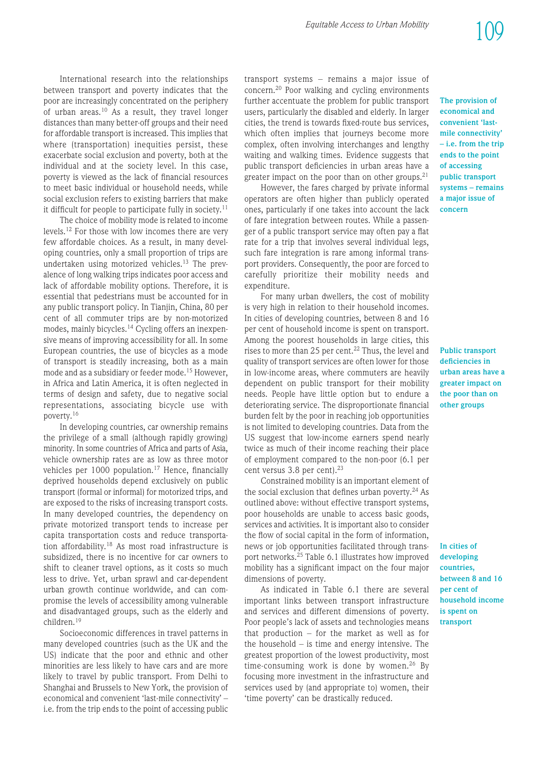International research into the relationships between transport and poverty indicates that the poor are increasingly concentrated on the periphery of urban areas.10 As a result, they travel longer distances than many better-off groups and their need for affordable transport is increased. This implies that where (transportation) inequities persist, these exacerbate social exclusion and poverty, both at the individual and at the society level. In this case, poverty is viewed as the lack of financial resources to meet basic individual or household needs, while social exclusion refers to existing barriers that make it difficult for people to participate fully in society.<sup>11</sup>

The choice of mobility mode is related to income levels.12 For those with low incomes there are very few affordable choices. As a result, in many developing countries, only a small proportion of trips are undertaken using motorized vehicles.<sup>13</sup> The prevalence of long walking trips indicates poor access and lack of affordable mobility options. Therefore, it is essential that pedestrians must be accounted for in any public transport policy. In Tianjin, China, 80 per cent of all commuter trips are by non-motorized modes, mainly bicycles.<sup>14</sup> Cycling offers an inexpensive means of improving accessibility for all. In some European countries, the use of bicycles as a mode of trans port is steadily increasing, both as a main mode and as a subsidiary or feeder mode.15 However, in Africa and Latin America, it is often neglected in terms of design and safety, due to negative social representations, associating bicycle use with poverty.16

In developing countries, car ownership remains the privilege of a small (although rapidly growing) minority. In some countries of Africa and parts of Asia, vehicle ownership rates are as low as three motor vehicles per  $1000$  population.<sup>17</sup> Hence, financially deprived households depend exclusively on public trans port (formal or informal) for motorized trips, and are exposed to the risks of increasing transport costs. In many developed countries, the dependency on private motorized transport tends to increase per capita transportation costs and reduce transportation affordability.<sup>18</sup> As most road infrastructure is subsidized, there is no incentive for car owners to shift to cleaner travel options, as it costs so much less to drive. Yet, urban sprawl and car-dependent urban growth continue worldwide, and can compromise the levels of accessibility among vulnerable and disadvantaged groups, such as the elderly and children.19

Socioeconomic differences in travel patterns in many developed countries (such as the UK and the US) indicate that the poor and ethnic and other minorities are less likely to have cars and are more likely to travel by public transport. From Delhi to Shanghai and Brussels to New York, the provision of economical and convenient 'last-mile connectivity' – i.e. from the trip ends to the point of accessing public transport systems – remains a major issue of concern.<sup>20</sup> Poor walking and cycling environments further accentuate the problem for public transport users, particularly the disabled and elderly. In larger cities, the trend is towards fixed-route bus services, which often implies that journeys become more complex, often involving interchanges and lengthy waiting and walking times. Evidence suggests that public transport deficiencies in urban areas have a greater impact on the poor than on other groups.<sup>21</sup>

However, the fares charged by private informal operators are often higher than publicly operated ones, particularly if one takes into account the lack of fare integration between routes. While a passenger of a public transport service may often pay a flat rate for a trip that involves several individual legs, such fare integration is rare among informal transport providers. Consequently, the poor are forced to carefully prioritize their mobility needs and expenditure.

For many urban dwellers, the cost of mobility is very high in relation to their household incomes. In cities of developing countries, between 8 and 16 per cent of household income is spent on transport. Among the poorest households in large cities, this rises to more than 25 per cent. $22$  Thus, the level and quality of transport services are often lower for those in low-income areas, where commuters are heavily dependent on public transport for their mobility needs. People have little option but to endure a deteriorating service. The disproportionate financial burden felt by the poor in reaching job opportunities is not limited to developing countries. Data from the US suggest that low-income earners spend nearly twice as much of their income reaching their place of employment compared to the non-poor (6.1 per cent versus 3.8 per cent).<sup>23</sup>

Constrained mobility is an important element of the social exclusion that defines urban poverty.<sup>24</sup> As outlined above: without effective transport systems. poor households are unable to access basic goods, services and activities. It is important also to consider the flow of social capital in the form of information, news or job opportunities facilitated through transport networks.25 Table 6.1 illustrates how improved mobility has a significant impact on the four major dimensions of poverty.

As indicated in Table 6.1 there are several important links between transport infrastructure and services and different dimensions of poverty. Poor people's lack of assets and technologies means that production – for the market as well as for the household – is time and energy intensive. The greatest proportion of the lowest productivity, most time-consuming work is done by women.<sup>26</sup> By focusing more investment in the infrastructure and services used by (and appropriate to) women, their 'time poverty' can be drastically reduced.

**The provision of economical and convenient 'lastmile connectivity' – i.e. from the trip ends to the point of accessing public transport systems – remains a major issue of concern**

**Public transport deficiencies in urban areas have a greater impact on the poor than on other groups**

**In cities of developing countries, between 8 and 16 per cent of household income is spent on transport**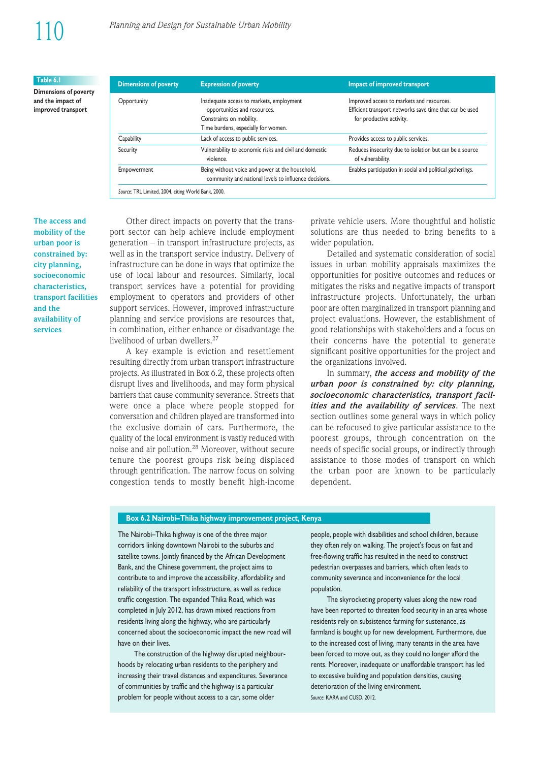#### **Table 6.1**

**Dimensions of poverty and the impact of improved transport**

| <b>Dimensions of poverty</b> | <b>Expression of poverty</b>                                                                                                                | Impact of improved transport                                                                                                     |  |  |
|------------------------------|---------------------------------------------------------------------------------------------------------------------------------------------|----------------------------------------------------------------------------------------------------------------------------------|--|--|
| Opportunity                  | Inadequate access to markets, employment<br>opportunities and resources.<br>Constraints on mobility.<br>Time burdens, especially for women. | Improved access to markets and resources.<br>Efficient transport networks save time that can be used<br>for productive activity. |  |  |
| Capability                   | Lack of access to public services.                                                                                                          | Provides access to public services.                                                                                              |  |  |
| Security                     | Vulnerability to economic risks and civil and domestic<br>violence.                                                                         | Reduces insecurity due to isolation but can be a source<br>of vulnerability.                                                     |  |  |
| Empowerment                  | Being without voice and power at the household,<br>community and national levels to influence decisions.                                    | Enables participation in social and political gatherings.                                                                        |  |  |

**The access and mobility of the urban poor is constrained by: city planning, socioeconomic characteristics, transport facilities and the availability of services**

Other direct impacts on poverty that the transport sector can help achieve include employment generation  $-$  in transport infrastructure projects, as well as in the transport service industry. Delivery of infrastructure can be done in ways that optimize the use of local labour and resources. Similarly, local trans port services have a potential for providing employment to operators and providers of other support services. However, improved infrastructure planning and service provisions are resources that, in combination, either enhance or disadvantage the livelihood of urban dwellers.<sup>27</sup>

A key example is eviction and resettlement resulting directly from urban transport infrastructure projects. As illustrated in Box 6.2, these projects often disrupt lives and livelihoods, and may form physical barriers that cause community severance. Streets that were once a place where people stopped for conversation and children played are transformed into the exclusive domain of cars. Furthermore, the quality of the local environment is vastly reduced with noise and air pollution.28 Moreover, without secure tenure the poorest groups risk being displaced through gentrification. The narrow focus on solving congestion tends to mostly benefit high-income

private vehicle users. More thoughtful and holistic solutions are thus needed to bring benefits to a wider population.

Detailed and systematic consideration of social issues in urban mobility appraisals maximizes the opportunities for positive outcomes and reduces or mitigates the risks and negative impacts of transport infrastructure projects. Unfortunately, the urban poor are often marginalized in transport planning and project evaluations. However, the establishment of good relationships with stakeholders and a focus on their concerns have the potential to generate significant positive opportunities for the project and the organizations involved.

In summary, *the access and mobility of the urban poor is constrained by: city planning, socio economic characteristics, trans port facil ities and the availability of services*. The next section outlines some general ways in which policy can be refocused to give particular assistance to the poorest groups, through concentration on the needs of specific social groups, or indirectly through assistance to those modes of transport on which the urban poor are known to be particularly dependent.

#### **Box 6.2 Nairobi–Thika highway improvement project, Kenya**

The Nairobi–Thika highway is one of the three major corridors linking downtown Nairobi to the suburbs and satellite towns. Jointly financed by the African Development Bank, and the Chinese government, the project aims to contribute to and improve the accessibility, affordability and reliability of the transport infrastructure, as well as reduce traffic congestion. The expanded Thika Road, which was completed in July 2012, has drawn mixed reactions from residents living along the highway, who are particularly concerned about the socioeconomic impact the new road will have on their lives.

The construction of the highway disrupted neighbourhoods by relocating urban residents to the periphery and increasing their travel distances and expenditures. Severance of communities by traffic and the highway is a particular problem for people without access to a car, some older

people, people with disabilities and school children, because they often rely on walking. The project's focus on fast and free-flowing traffic has resulted in the need to construct pedestrian overpasses and barriers, which often leads to community severance and inconvenience for the local population.

The skyrocketing property values along the new road have been reported to threaten food security in an area whose residents rely on subsistence farming for sustenance, as farmland is bought up for new development. Furthermore, due to the increased cost of living, many tenants in the area have been forced to move out, as they could no longer afford the rents. Moreover, inadequate or unaffordable transport has led to excessive building and population densities, causing deterioration of the living environment. *Source*: KARA and CUSD, 2012.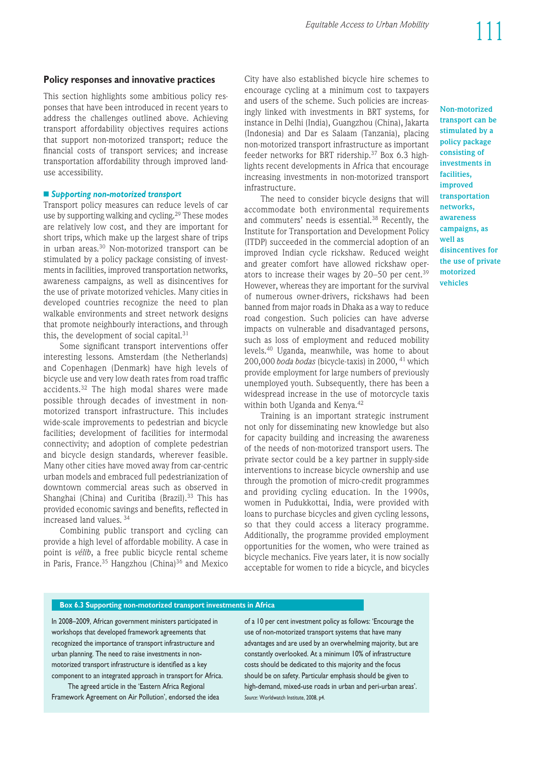#### **Policy responses and innovative practices**

This section highlights some ambitious policy responses that have been introduced in recent years to address the challenges outlined above. Achieving trans port affordability objectives requires actions that support non-motorized transport; reduce the financial costs of transport services; and increase transportation affordability through improved landuse accessibility.

#### n *Supporting non-motorized transport*

Transport policy measures can reduce levels of car use by supporting walking and cycling.<sup>29</sup> These modes are relatively low cost, and they are important for short trips, which make up the largest share of trips in urban areas.<sup>30</sup> Non-motorized transport can be stimulated by a policy package consisting of investments in facilities, improved transportation networks, awareness campaigns, as well as disincentives for the use of private motorized vehicles. Many cities in developed countries recognize the need to plan walkable environments and street network designs that promote neighbourly interactions, and through this, the development of social capital. $31$ 

Some significant transport interventions offer interesting lessons. Amsterdam (the Netherlands) and Copenhagen (Denmark) have high levels of bicycle use and very low death rates from road traffic accidents.32 The high modal shares were made possible through decades of investment in nonmotorized transport infrastructure. This includes wide-scale improvements to pedestrian and bicycle facilities; development of facilities for intermodal connectivity; and adoption of complete pedestrian and bicycle design standards, wherever feasible. Many other cities have moved away from car-centric urban models and embraced full pedestrianization of downtown commercial areas such as observed in Shanghai (China) and Curitiba (Brazil).<sup>33</sup> This has provided economic savings and benefits, reflected in increased land values. <sup>34</sup>

Combining public transport and cycling can provide a high level of affordable mobility. A case in point is *vélib*, a free public bicycle rental scheme in Paris, France.<sup>35</sup> Hangzhou (China)<sup>36</sup> and Mexico City have also established bicycle hire schemes to encourage cycling at a minimum cost to taxpayers and users of the scheme. Such policies are increasingly linked with investments in BRT systems, for instance in Delhi (India), Guangzhou (China), Jakarta (Indonesia) and Dar es Salaam (Tanzania), placing non-motorized transport infrastructure as important feeder networks for BRT ridership.<sup>37</sup> Box 6.3 highlights recent developments in Africa that encourage increasing investments in non-motorized transport infrastructure.

The need to consider bicycle designs that will accommodate both environmental requirements and commuters' needs is essential.38 Recently, the Institute for Transportation and Development Policy (ITDP) succeeded in the commercial adoption of an improved Indian cycle rickshaw. Reduced weight and greater comfort have allowed rickshaw operators to increase their wages by  $20-50$  per cent.<sup>39</sup> However, whereas they are important for the survival of numerous owner-drivers, rickshaws had been banned from major roads in Dhaka as a way to reduce road congestion. Such policies can have adverse impacts on vulnerable and disadvantaged persons, such as loss of employment and reduced mobility levels.40 Uganda, meanwhile, was home to about 200,000 *boda bodas* (bicycle-taxis) in 2000, 41 which provide employment for large numbers of previously unemployed youth. Subsequently, there has been a widespread increase in the use of motorcycle taxis within both Uganda and Kenya.<sup>42</sup>

Training is an important strategic instrument not only for disseminating new knowledge but also for capacity building and increasing the awareness of the needs of non-motorized transport users. The private sector could be a key partner in supply-side interventions to increase bicycle ownership and use through the promotion of micro-credit programmes and providing cycling education. In the 1990s, women in Pudukkottai, India, were provided with loans to purchase bicycles and given cycling lessons, so that they could access a literacy programme. Additionally, the programme provided employment opportunities for the women, who were trained as bicycle mechanics. Five years later, it is now socially acceptable for women to ride a bicycle, and bicycles

**transport can be stimulated by a policy package consisting of investments in facilities, improved transportation networks, awareness campaigns, as well as disincentives for the use of private motorized vehicles**

**Non-motorized**

#### **Box 6.3 Supporting non-motorized transport investments in Africa**

In 2008–2009, African government ministers participated in workshops that developed framework agreements that recognized the importance of transport infrastructure and urban planning. The need to raise investments in nonmotorized transport infrastructure is identified as a key component to an integrated approach in transport for Africa.

The agreed article in the 'Eastern Africa Regional Framework Agreement on Air Pollution', endorsed the idea of a 10 per cent investment policy as follows: 'Encourage the use of non-motorized transport systems that have many advantages and are used by an overwhelming majority, but are constantly overlooked. At a minimum 10% of infrastructure costs should be dedicated to this majority and the focus should be on safety. Particular emphasis should be given to high-demand, mixed-use roads in urban and peri-urban areas'. *Source*: Worldwatch Institute, 2008, p4.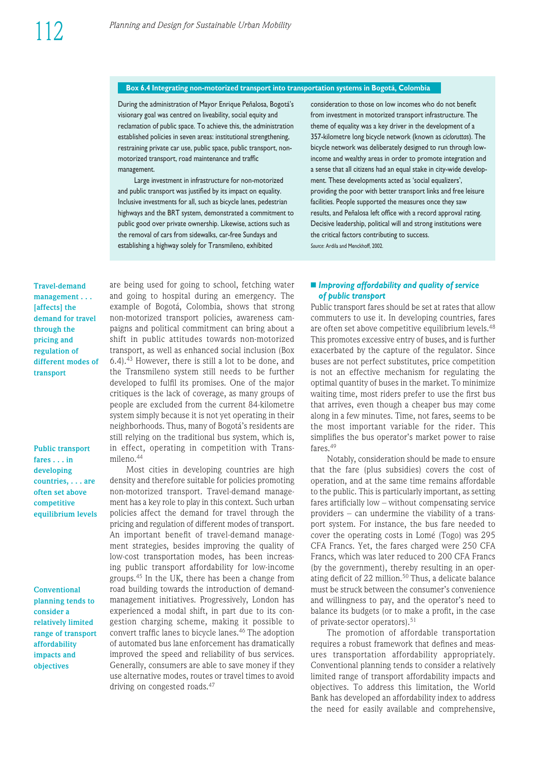#### Box 6.4 Integrating non-motorized transport into transportation systems in Bogotá, Colombia

During the administration of Mayor Enrique Peñalosa, Bogotá's visionary goal was centred on liveability, social equity and reclamation of public space. To achieve this, the administration established policies in seven areas: institutional strengthening, restraining private car use, public space, public transport, nonmotorized transport, road maintenance and traffic management.

Large investment in infrastructure for non-motorized and public transport was justified by its impact on equality. Inclusive investments for all, such as bicycle lanes, pedestrian highways and the BRT system, demonstrated a commitment to public good over private ownership. Likewise, actions such as the removal of cars from sidewalks, car-free Sundays and establishing a highway solely for Transmileno, exhibited

consideration to those on low incomes who do not benefit from investment in motorized transport infrastructure. The theme of equality was a key driver in the development of a 357-kilometre long bicycle network (known as *cicloruttas*). The bicycle network was deliberately designed to run through lowincome and wealthy areas in order to promote integration and a sense that all citizens had an equal stake in city-wide development. These developments acted as 'social equalizers', providing the poor with better transport links and free leisure facilities. People supported the measures once they saw results, and Peñalosa left office with a record approval rating. Decisive leadership, political will and strong institutions were the critical factors contributing to success. *Source*: Ardila and Menckhoff, 2002.

**Travel-demand management . . . [affects] the demand for travel through the pricing and regulation of different modes of transport**

**Public transport fares . . . in developing countries, . . . are often set above competitive equilibrium levels**

**Conventional planning tends to consider a relatively limited range of transport affordability impacts and objectives**

are being used for going to school, fetching water and going to hospital during an emergency. The example of Bogotá, Colombia, shows that strong non-motorized transport policies, awareness campaigns and political commitment can bring about a shift in public attitudes towards non-motorized transport, as well as enhanced social inclusion (Box 6.4).43 However, there is still a lot to be done, and the Transmileno system still needs to be further developed to fulfil its promises. One of the major critiques is the lack of coverage, as many groups of people are excluded from the current 84-kilometre system simply because it is not yet operating in their neighborhoods. Thus, many of Bogotá's residents are still relying on the traditional bus system, which is, in effect, operating in competition with Transmileno.44

Most cities in developing countries are high density and therefore suitable for policies promoting non-motorized transport. Travel-demand management has a key role to play in this context. Such urban policies affect the demand for travel through the pricing and regulation of different modes of transport. An important benefit of travel-demand management strategies, besides improving the quality of low-cost transportation modes, has been increasing public transport affordability for low-income groups.45 In the UK, there has been a change from road building towards the introduction of demandmanagement initiatives. Progressively, London has experienced a modal shift, in part due to its congestion charging scheme, making it possible to convert traffic lanes to bicycle lanes.46 The adoption of automated bus lane enforcement has dramatically improved the speed and reliability of bus services. Generally, consumers are able to save money if they use alternative modes, routes or travel times to avoid driving on congested roads.<sup>47</sup>

#### ■ *Improving affordability and quality of service of public transport*

Public transport fares should be set at rates that allow commuters to use it. In developing countries, fares are often set above competitive equilibrium levels.<sup>48</sup> This promotes excessive entry of buses, and is further exacerbated by the capture of the regulator. Since buses are not perfect substitutes, price competition is not an effective mechanism for regulating the optimal quantity of buses in the market. To minimize waiting time, most riders prefer to use the first bus that arrives, even though a cheaper bus may come along in a few minutes. Time, not fares, seems to be the most important variable for the rider. This simplifies the bus operator's market power to raise fares.<sup>49</sup>

Notably, consideration should be made to ensure that the fare (plus subsidies) covers the cost of operation, and at the same time remains affordable to the public. This is particularly important, as setting fares artificially low – without compensating service providers  $-$  can undermine the viability of a transport system. For instance, the bus fare needed to cover the operating costs in Lomé (Togo) was 295 CFA Francs. Yet, the fares charged were 250 CFA Francs, which was later reduced to 200 CFA Francs (by the government), thereby resulting in an operating deficit of 22 million.<sup>50</sup> Thus, a delicate balance must be struck between the consumer's convenience and willingness to pay, and the operator's need to balance its budgets (or to make a profit, in the case of private-sector operators).51

The promotion of affordable transportation requires a robust framework that defines and measures transportation affordability appropriately. Conventional planning tends to consider a relatively limited range of transport affordability impacts and objectives. To address this limitation, the World Bank has developed an affordability index to address the need for easily available and comprehensive,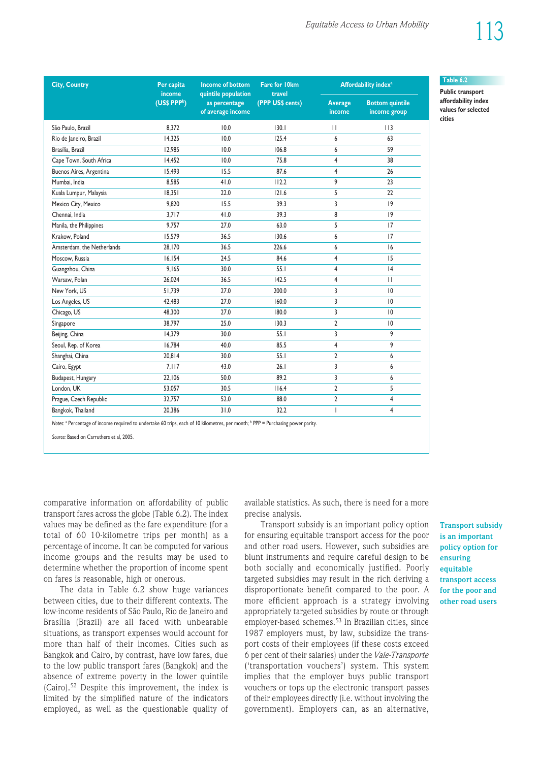**Table 6.2 Public transport affordability index values for selected**

**cities**

| <b>City, Country</b>       | <b>Income of bottom</b><br>Per capita<br>income<br>quintile population<br>(US\$ PPP <sup>b</sup> )<br>as percentage<br>of average income |      | <b>Fare for 10km</b>       | Affordability index <sup>a</sup> |                                        |  |
|----------------------------|------------------------------------------------------------------------------------------------------------------------------------------|------|----------------------------|----------------------------------|----------------------------------------|--|
|                            |                                                                                                                                          |      | travel<br>(PPP US\$ cents) | <b>Average</b><br>income         | <b>Bottom quintile</b><br>income group |  |
| São Paulo, Brazil          | 8,372                                                                                                                                    | 10.0 | 130.1                      | П                                | 113                                    |  |
| Rio de Janeiro, Brazil     | 14,325                                                                                                                                   | 10.0 | 125.4                      | 6                                | 63                                     |  |
| Brasília, Brazil           | 12,985                                                                                                                                   | 10.0 | 106.8                      | 6                                | 59                                     |  |
| Cape Town, South Africa    | 14,452                                                                                                                                   | 10.0 | 75.8                       | $\overline{4}$                   | 38                                     |  |
| Buenos Aires, Argentina    | 15,493                                                                                                                                   | 15.5 | 87.6                       | 4                                | 26                                     |  |
| Mumbai, India              | 8,585                                                                                                                                    | 41.0 | 112.2                      | 9                                | 23                                     |  |
| Kuala Lumpur, Malaysia     | 18,351                                                                                                                                   | 22.0 | 121.6                      | 5                                | 22                                     |  |
| Mexico City, Mexico        | 9,820                                                                                                                                    | 15.5 | 39.3                       | 3                                | 9                                      |  |
| Chennai, India             | 3,717                                                                                                                                    | 41.0 | 39.3                       | 8                                | 9                                      |  |
| Manila, the Philippines    | 9,757                                                                                                                                    | 27.0 | 63.0                       | 5                                | 17                                     |  |
| Krakow, Poland             | 15,579                                                                                                                                   | 36.5 | 130.6                      | 6                                | 17                                     |  |
| Amsterdam, the Netherlands | 28,170                                                                                                                                   | 36.5 | 226.6                      | 6                                | 6                                      |  |
| Moscow, Russia             | 16,154                                                                                                                                   | 24.5 | 84.6                       | $\overline{4}$                   | 15                                     |  |
| Guangzhou, China           | 9,165                                                                                                                                    | 30.0 | 55.1                       | 4                                | 4                                      |  |
| Warsaw, Polan              | 26,024                                                                                                                                   | 36.5 | 142.5                      | 4                                | $\mathbf{H}$                           |  |
| New York, US               | 51,739                                                                                                                                   | 27.0 | 200.0                      | 3                                | $ 0\rangle$                            |  |
| Los Angeles, US            | 42,483                                                                                                                                   | 27.0 | 160.0                      | 3                                | $ 0\rangle$                            |  |
| Chicago, US                | 48,300                                                                                                                                   | 27.0 | 180.0                      | $\overline{3}$                   | 10                                     |  |
| Singapore                  | 38,797                                                                                                                                   | 25.0 | 130.3                      | $\overline{2}$                   | $ 0\rangle$                            |  |
| Beijing, China             | 14,379                                                                                                                                   | 30.0 | 55.1                       | 3                                | 9                                      |  |
| Seoul, Rep. of Korea       | 16,784                                                                                                                                   | 40.0 | 85.5                       | $\overline{4}$                   | 9                                      |  |
| Shanghai, China            | 20,814                                                                                                                                   | 30.0 | 55.1                       | $\overline{2}$                   | 6                                      |  |
| Cairo, Egypt               | 7,117                                                                                                                                    | 43.0 | 26.1                       | 3                                | 6                                      |  |
| Budapest, Hungary          | 22,106                                                                                                                                   | 50.0 | 89.2                       | 3                                | 6                                      |  |
| London, UK                 | 53,057                                                                                                                                   | 30.5 | 116.4                      | $\overline{2}$                   | 5                                      |  |
| Prague, Czech Republic     | 32,757                                                                                                                                   | 52.0 | 88.0                       | $\overline{2}$                   | 4                                      |  |
| Bangkok, Thailand          | 20,386                                                                                                                                   | 31.0 | 32.2                       | T                                | 4                                      |  |

*Source:* Based on Carruthers et al, 2005.

comparative information on affordability of public transport fares across the globe (Table 6.2). The index values may be defined as the fare expenditure (for a total of 60 10-kilometre trips per month) as a percentage of income. It can be computed for various income groups and the results may be used to determine whether the proportion of income spent on fares is reasonable, high or onerous.

The data in Table 6.2 show huge variances between cities, due to their different contexts. The low-income residents of São Paulo, Rio de Janeiro and Brasília (Brazil) are all faced with unbearable situations, as transport expenses would account for more than half of their incomes. Cities such as Bangkok and Cairo, by contrast, have low fares, due to the low public transport fares (Bangkok) and the absence of extreme poverty in the lower quintile (Cairo).52 Despite this improvement, the index is limited by the simplified nature of the indicators employed, as well as the questionable quality of available statistics. As such, there is need for a more precise analysis.

Trans port subsidy is an important policy option for ensuring equitable transport access for the poor and other road users. However, such subsidies are blunt instruments and require careful design to be both socially and economically justified. Poorly targeted subsidies may result in the rich deriving a disproportionate benefit compared to the poor. A more efficient approach is a strategy involving appropriately targeted subsidies by route or through employer-based schemes.53 In Brazilian cities, since 1987 employers must, by law, subsidize the transport costs of their employees (if these costs exceed 6 per cent of their salaries) under the *Vale-Transporte* ('transportation vouchers') system. This system implies that the employer buys public transport vouchers or tops up the electronic transport passes of their employees directly (i.e. without involving the govern ment). Employers can, as an alternative,

**Transport subsidy is an important policy option for ensuring equitable transport access for the poor and other road users**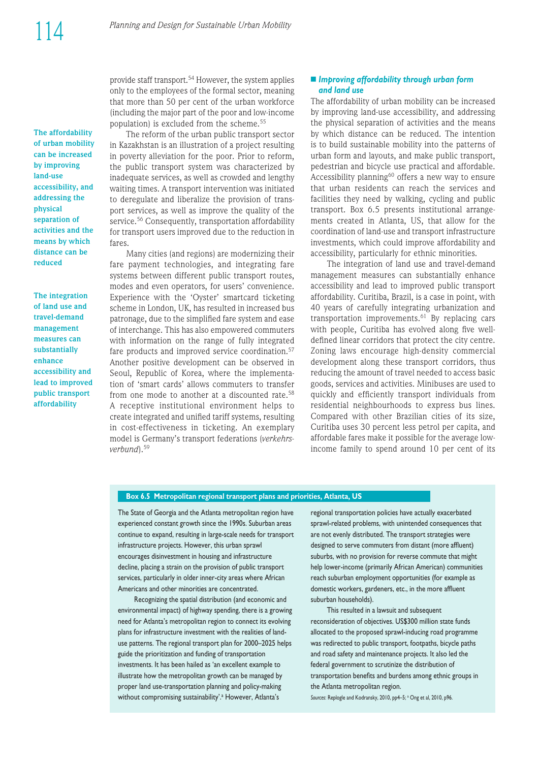provide staff transport.<sup>54</sup> However, the system applies only to the employees of the formal sector, meaning that more than 50 per cent of the urban workforce (including the major part of the poor and low-income population) is excluded from the scheme.55

The reform of the urban public transport sector in Kazakhstan is an illustration of a project resulting in poverty alleviation for the poor. Prior to reform, the public transport system was characterized by inadequate services, as well as crowded and lengthy waiting times. A transport intervention was initiated to deregulate and liberalize the provision of trans port services, as well as improve the quality of the service.<sup>56</sup> Consequently, transportation affordability for transport users improved due to the reduction in fares.

Many cities (and regions) are modernizing their fare payment technologies, and integrating fare systems between different public transport routes, modes and even operators, for users' convenience. Experience with the 'Oyster' smartcard ticketing scheme in London, UK, has resulted in increased bus patronage, due to the simplified fare system and ease of interchange. This has also empowered commuters with information on the range of fully integrated fare products and improved service coordination.<sup>57</sup> Another positive development can be observed in Seoul, Republic of Korea, where the implementation of 'smart cards' allows commuters to transfer from one mode to another at a discounted rate.<sup>58</sup> A receptive institutional environment helps to create integrated and unified tariff systems, resulting in cost-effectiveness in ticketing. An exemplary model is Germany's transport federations (verkehrs*verbund*).59

#### n *Improving affordability through urban form and land use*

The affordability of urban mobility can be increased by improving land-use accessibility, and addressing the physical separation of activities and the means by which distance can be reduced. The intention is to build sustainable mobility into the patterns of urban form and layouts, and make public transport, pedestrian and bicycle use practical and affordable. Accessibility planning<sup>60</sup> offers a new way to ensure that urban residents can reach the services and facilities they need by walking, cycling and public transport. Box 6.5 presents institutional arrange ments created in Atlanta, US, that allow for the coordination of land-use and transport infrastructure investments, which could improve affordability and accessibility, particularly for ethnic minorities.

The integration of land use and travel-demand management measures can substantially enhance accessibility and lead to improved public transport affordability. Curitiba, Brazil, is a case in point, with 40 years of carefully integrating urbanization and transportation improvements.61 By replacing cars with people, Curitiba has evolved along five welldefined linear corridors that protect the city centre. Zoning laws encourage high-density commercial development along these transport corridors, thus reducing the amount of travel needed to access basic goods, services and activities. Minibuses are used to quickly and efficiently transport individuals from residential neighbourhoods to express bus lines. Compared with other Brazilian cities of its size, Curitiba uses 30 percent less petrol per capita, and affordable fares make it possible for the average lowincome family to spend around 10 per cent of its

#### **Box 6.5 Metropolitan regional transport plans and priorities, Atlanta, US**

The State of Georgia and the Atlanta metropolitan region have experienced constant growth since the 1990s. Suburban areas continue to expand, resulting in large-scale needs for transport infrastructure projects. However, this urban sprawl encourages disinvestment in housing and infrastructure decline, placing a strain on the provision of public transport services, particularly in older inner-city areas where African Americans and other minorities are concentrated.

Recognizing the spatial distribution (and economic and environ mental impact) of highway spending, there is a growing need for Atlanta's metropolitan region to connect its evolving plans for infrastructure investment with the realities of landuse patterns. The regional transport plan for 2000-2025 helps guide the prioritization and funding of transportation investments. It has been hailed as 'an excellent example to illustrate how the metropolitan growth can be managed by proper land use-transportation planning and policy-making without compromising sustainability'.<sup>a</sup> However, Atlanta's

regional transportation policies have actually exacerbated sprawl-related problems, with unintended consequences that are not evenly distributed. The transport strategies were designed to serve commuters from distant (more affluent) suburbs, with no provision for reverse commute that might help lower-income (primarily African American) communities reach suburban employment opportunities (for example as domestic workers, gardeners, etc., in the more affluent suburban households).

This resulted in a lawsuit and subsequent reconsideration of objectives. US\$300 million state funds allocated to the proposed sprawl-inducing road programme was redirected to public transport, footpaths, bicycle paths and road safety and maintenance projects. It also led the federal government to scrutinize the distribution of transportation benefits and burdens among ethnic groups in the Atlanta metropolitan region.

Sources: Replogle and Kodransky, 2010, pp4-5; <sup>a</sup> Ong et al, 2010, p96.

**of urban mobility can be increased by improving land-use accessibility, and addressing the physical separation of activities and the means by which distance can be reduced**

**The affordability**

**The integration of land use and travel-demand management measures can substantially enhance accessibility and lead to improved public transport affordability**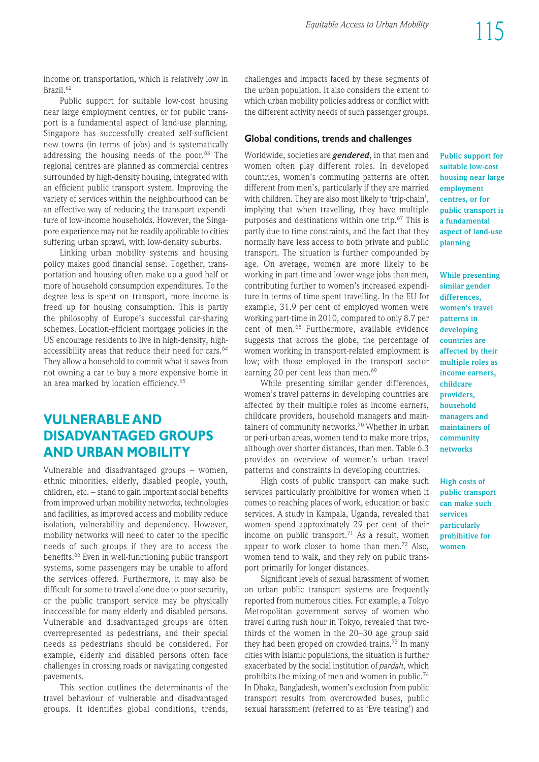income on transportation, which is relatively low in Brazil<sup>62</sup>

Public support for suitable low-cost housing near large employment centres, or for public trans port is a fundamental aspect of land-use planning. Singapore has successfully created self-sufficient new towns (in terms of jobs) and is systematically addressing the housing needs of the poor.63 The regional centres are planned as commercial centres surrounded by high-density housing, integrated with an efficient public transport system. Improving the variety of services within the neighbourhood can be an effective way of reducing the transport expenditure of low-income households. However, the Singapore experience may not be readily applicable to cities suffering urban sprawl, with low-density suburbs.

Linking urban mobility systems and housing policy makes good financial sense. Together, transportation and housing often make up a good half or more of household consumption expenditures. To the degree less is spent on transport, more income is freed up for housing consumption. This is partly the philosophy of Europe's successful car-sharing schemes. Location-efficient mortgage policies in the US encourage residents to live in high-density, highaccessibility areas that reduce their need for cars.<sup>64</sup> They allow a household to commit what it saves from not owning a car to buy a more expensive home in an area marked by location efficiency.65

# **VULNERABLE AND DIS ADVAN TAGED GROUPS AND URBAN MOBILITY**

Vulnerable and disadvantaged groups  $-$  women, ethnic minorities, elderly, disabled people, youth, children, etc. – stand to gain important social benefits from improved urban mobility networks, technologies and facilities, as improved access and mobility reduce isolation, vulnerability and dependency. However, mobility networks will need to cater to the specific needs of such groups if they are to access the benefits.<sup>66</sup> Even in well-functioning public transport systems, some passengers may be unable to afford the services offered. Furthermore, it may also be difficult for some to travel alone due to poor security, or the public transport service may be physically inaccessible for many elderly and disabled persons. Vulnerable and disadvantaged groups are often overrepresented as pedestrians, and their special needs as pedestrians should be considered. For example, elderly and disabled persons often face challenges in crossing roads or navigating congested pavements.

This section outlines the determinants of the travel behaviour of vulnerable and disadvantaged groups. It identifies global conditions, trends, challenges and impacts faced by these segments of the urban population. It also considers the extent to which urban mobility policies address or conflict with the different activity needs of such passenger groups.

### **Global conditions, trends and challenges**

Worldwide, societies are *gendered*, in that men and women often play different roles. In developed countries, women's commuting patterns are often different from men's, particularly if they are married with children. They are also most likely to 'trip-chain', implying that when travelling, they have multiple purposes and destinations within one trip.67 This is partly due to time constraints, and the fact that they normally have less access to both private and public transport. The situation is further compounded by age. On average, women are more likely to be working in part-time and lower-wage jobs than men, contributing further to women's increased expenditure in terms of time spent travelling. In the EU for example, 31.9 per cent of employed women were working part-time in 2010, compared to only 8.7 per cent of men.<sup>68</sup> Furthermore, available evidence suggests that across the globe, the percentage of women working in transport-related employment is low; with those employed in the transport sector earning 20 per cent less than men.<sup>69</sup>

While presenting similar gender differences, women's travel patterns in developing countries are affected by their multiple roles as income earners, childcare providers, household managers and maintainers of community networks.<sup>70</sup> Whether in urban or peri-urban areas, women tend to make more trips, although over shorter distances, than men. Table 6.3 provides an overview of women's urban travel patterns and constraints in developing countries.

High costs of public transport can make such services particularly prohibitive for women when it comes to reaching places of work, education or basic services. A study in Kampala, Uganda, revealed that women spend approximately 29 per cent of their income on public transport.<sup>71</sup> As a result, women appear to work closer to home than men.72 Also, women tend to walk, and they rely on public transport primarily for longer distances.

Significant levels of sexual harassment of women on urban public transport systems are frequently reported from numerous cities. For example, a Tokyo Metropolitan government survey of women who travel during rush hour in Tokyo, revealed that twothirds of the women in the 20–30 age group said they had been groped on crowded trains.<sup>73</sup> In many cities with Islamic populations, the situation is further exacerbated by the social institution of *pardah*, which prohibits the mixing of men and women in public.<sup>74</sup> In Dhaka, Bangladesh, women's exclusion from public transport results from overcrowded buses, public sexual harassment (referred to as 'Eve teasing') and **Public support for suitable low-cost housing near large employment centres, or for public transport is a fundamental aspect of land-use planning**

**While presenting similar gender differences, women's travel patterns in developing countries are affected by their multiple roles as income earners, childcare providers, household managers and maintainers of community networks**

**High costs of public transport can make such services particularly prohibitive for women**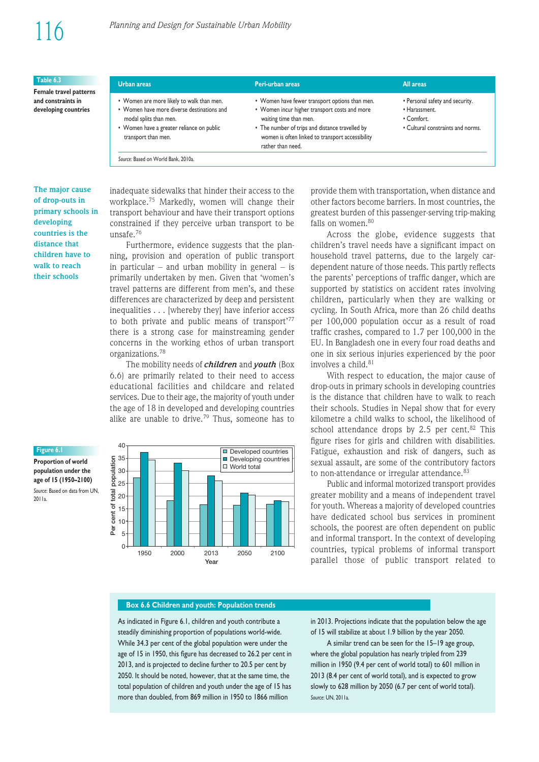| Table 6.3                                                            | <b>Urban areas</b>                                                                                                                                                                                                           | Peri-urban areas                                                                                                                                                                                                                                      | All areas                                                                                           |
|----------------------------------------------------------------------|------------------------------------------------------------------------------------------------------------------------------------------------------------------------------------------------------------------------------|-------------------------------------------------------------------------------------------------------------------------------------------------------------------------------------------------------------------------------------------------------|-----------------------------------------------------------------------------------------------------|
| Female travel patterns<br>and constraints in<br>developing countries | • Women are more likely to walk than men.<br>• Women have more diverse destinations and<br>modal splits than men.<br>• Women have a greater reliance on public<br>transport than men.<br>Source: Based on World Bank, 2010a. | • Women have fewer transport options than men.<br>• Women incur higher transport costs and more<br>waiting time than men.<br>• The number of trips and distance travelled by<br>women is often linked to transport accessibility<br>rather than need. | • Personal safety and security.<br>• Harassment.<br>• Comfort.<br>• Cultural constraints and norms. |

#### **The major cause of drop-outs in primary schools in developing countries is the distance that children have to walk to reach their schools**

inadequate sidewalks that hinder their access to the workplace.75 Markedly, women will change their trans port behaviour and have their trans port options constrained if they perceive urban transport to be unsafe.76

Furthermore, evidence suggests that the planning, provision and operation of public transport in particular – and urban mobility in general – is primarily undertaken by men. Given that 'women's travel patterns are different from men's, and these differences are characterized by deep and persistent inequalities . . . [whereby they] have inferior access to both private and public means of transport'77 there is a strong case for mainstreaming gender concerns in the working ethos of urban transport organizations.78

The mobility needs of *children* and *youth* (Box 6.6) are primarily related to their need to access educational facilities and childcare and related services. Due to their age, the majority of youth under the age of 18 in developed and developing countries alike are unable to drive.<sup>79</sup> Thus, someone has to

**Figure 6.1 Proportion of world population under the**





provide them with transportation, when distance and other factors become barriers. In most countries, the greatest burden of this passenger-serving trip-making falls on women.<sup>80</sup>

Across the globe, evidence suggests that children's travel needs have a significant impact on household travel patterns, due to the largely cardependent nature of those needs. This partly reflects the parents' perceptions of traffic danger, which are supported by statistics on accident rates involving children, particularly when they are walking or cycling. In South Africa, more than 26 child deaths per 100,000 population occur as a result of road traffic crashes, compared to 1.7 per 100,000 in the EU. In Bangladesh one in every four road deaths and one in six serious injuries experienced by the poor involves a child.<sup>81</sup>

With respect to education, the major cause of drop-outs in primary schools in developing countries is the distance that children have to walk to reach their schools. Studies in Nepal show that for every kilometre a child walks to school, the likelihood of school attendance drops by 2.5 per cent. $82$  This figure rises for girls and children with disabilities. Fatigue, exhaustion and risk of dangers, such as sexual assault, are some of the contributory factors to non-attendance or irregular attendance.<sup>83</sup>

Public and informal motorized transport provides greater mobility and a means of independent travel for youth. Whereas a majority of developed countries have dedicated school bus services in prominent schools, the poorest are often dependent on public and informal transport. In the context of developing countries, typical problems of informal transport parallel those of public transport related to

#### **Box 6.6 Children and youth: Population trends**

As indicated in Figure 6.1, children and youth contribute a steadily diminishing proportion of populations world-wide. While 34.3 per cent of the global population were under the age of 15 in 1950, this figure has decreased to 26.2 per cent in 2013, and is projected to decline further to 20.5 per cent by 2050. It should be noted, however, that at the same time, the total population of children and youth under the age of 15 has more than doubled, from 869 million in 1950 to 1866 million

in 2013. Projections indicate that the population below the age of 15 will stabilize at about 1.9 billion by the year 2050.

A similar trend can be seen for the 15–19 age group, where the global population has nearly tripled from 239 million in 1950 (9.4 per cent of world total) to 601 million in 2013 (8.4 per cent of world total), and is expected to grow slowly to 628 million by 2050 (6.7 per cent of world total). *Source*: UN, 2011a.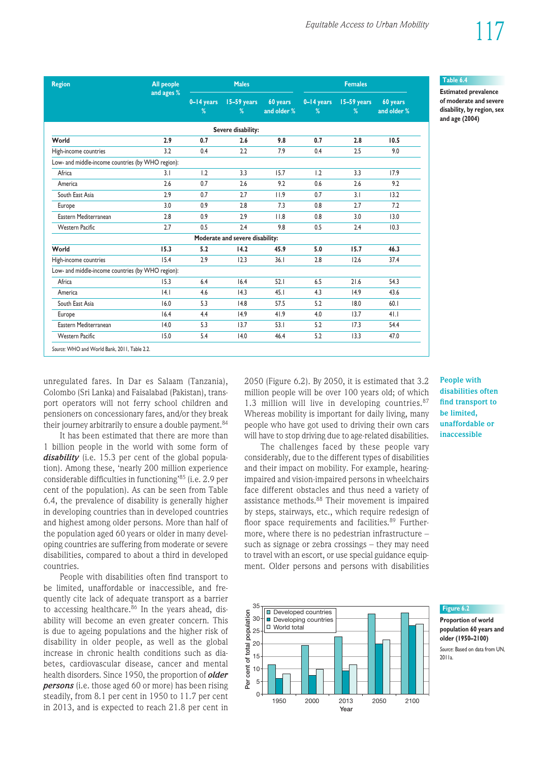| <b>Region</b>                                     | <b>All people</b> | <b>Males</b>        |                                 |                         | <b>Females</b>      |                         |                         |
|---------------------------------------------------|-------------------|---------------------|---------------------------------|-------------------------|---------------------|-------------------------|-------------------------|
|                                                   | and ages %        | $0 - 14$ years<br>% | 15-59 years<br>%                | 60 years<br>and older % | $0 - 14$ years<br>% | <b>15-59</b> years<br>% | 60 years<br>and older % |
|                                                   |                   |                     | Severe disability:              |                         |                     |                         |                         |
| World                                             | 2.9               | 0.7                 | 2.6                             | 9.8                     | 0.7                 | 2.8                     | 10.5                    |
| High-income countries                             | 3.2               | 0.4                 | 2.2                             | 7.9                     | 0.4                 | 2.5                     | 9.0                     |
| Low- and middle-income countries (by WHO region): |                   |                     |                                 |                         |                     |                         |                         |
| Africa                                            | 3.1               | 1.2                 | 3.3                             | 15.7                    | 1.2                 | 3.3                     | 17.9                    |
| America                                           | 2.6               | 0.7                 | 2.6                             | 9.2                     | 0.6                 | 2.6                     | 9.2                     |
| South East Asia                                   | 2.9               | 0.7                 | 2.7                             | 11.9                    | 0.7                 | 3.1                     | 13.2                    |
| Europe                                            | 3.0               | 0.9                 | 2.8                             | 7.3                     | 0.8                 | 2.7                     | 7.2                     |
| Eastern Mediterranean                             | 2.8               | 0.9                 | 2.9                             | 11.8                    | 0.8                 | 3.0                     | 13.0                    |
| <b>Western Pacific</b>                            | 2.7               | 0.5                 | 2.4                             | 9.8                     | 0.5                 | 2.4                     | 10.3                    |
|                                                   |                   |                     | Moderate and severe disability: |                         |                     |                         |                         |
| World                                             | 15.3              | 5.2                 | 14.2                            | 45.9                    | 5.0                 | 15.7                    | 46.3                    |
| High-income countries                             | 15.4              | 2.9                 | 12.3                            | 36.1                    | 2.8                 | 12.6                    | 37.4                    |
| Low- and middle-income countries (by WHO region): |                   |                     |                                 |                         |                     |                         |                         |
| Africa                                            | 15.3              | 6.4                 | 16.4                            | 52.1                    | 6.5                 | 21.6                    | 54.3                    |
| America                                           | 4.1               | 4.6                 | 14.3                            | 45.1                    | 4.3                 | 14.9                    | 43.6                    |
| South East Asia                                   | 16.0              | 5.3                 | 14.8                            | 57.5                    | 5.2                 | 18.0                    | 60.1                    |
| Europe                                            | 16.4              | 4.4                 | 14.9                            | 41.9                    | 4.0                 | 13.7                    | 41.1                    |
| Eastern Mediterranean                             | 14.0              | 5.3                 | 13.7                            | 53.1                    | 5.2                 | 17.3                    | 54.4                    |
| <b>Western Pacific</b>                            | 15.0              | 5.4                 | 14.0                            | 46.4                    | 5.2                 | 13.3                    | 47.0                    |

unregulated fares. In Dar es Salaam (Tanzania), Colombo (Sri Lanka) and Faisalabad (Pakistan), trans port operators will not ferry school children and pensioners on concessionary fares, and/or they break their journey arbitrarily to ensure a double payment.<sup>84</sup>

It has been estimated that there are more than 1 billion people in the world with some form of disability (i.e. 15.3 per cent of the global population). Among these, 'nearly 200 million experience considerable difficulties in functioning'85 (i.e. 2.9 per cent of the population). As can be seen from Table 6.4, the prevalence of disability is generally higher in developing countries than in developed countries and highest among older persons. More than half of the population aged 60 years or older in many developing countries are suffering from moderate or severe disabilities, compared to about a third in developed countries.

People with disabilities often find transport to be limited, unaffordable or inaccessible, and frequently cite lack of adequate transport as a barrier to accessing healthcare.<sup>86</sup> In the years ahead, disability will become an even greater concern. This is due to ageing populations and the higher risk of disability in older people, as well as the global increase in chronic health conditions such as dia betes, cardiovascular disease, cancer and mental health disorders. Since 1950, the proportion of *older persons* (i.e. those aged 60 or more) has been rising steadily, from 8.1 per cent in 1950 to 11.7 per cent in 2013, and is expected to reach 21.8 per cent in 2050 (Figure 6.2). By 2050, it is estimated that 3.2 million people will be over 100 years old; of which 1.3 million will live in developing countries. $87$ Whereas mobility is important for daily living, many people who have got used to driving their own cars will have to stop driving due to age-related disabilities.

The challenges faced by these people vary considerably, due to the different types of disabilities and their impact on mobility. For example, hearingimpaired and vision-impaired persons in wheelchairs face different obstacles and thus need a variety of assistance methods.88 Their movement is impaired by steps, stairways, etc., which require redesign of floor space requirements and facilities.<sup>89</sup> Furthermore, where there is no pedestrian infrastructure  $$ such as signage or zebra crossings – they may need to travel with an escort, or use special guidance equipment. Older persons and persons with disabilities



#### **Table 6.4**

**Estimated prevalence of moderate and severe disability, by region, sex and age (2004)**

### **People with disabilities often find transport to be limited, unaffordable or inaccessible**

## **Figure 6.2**

**Proportion of world population 60 years and older (1950–2100)** *Source*: Based on data from UN, 2011a.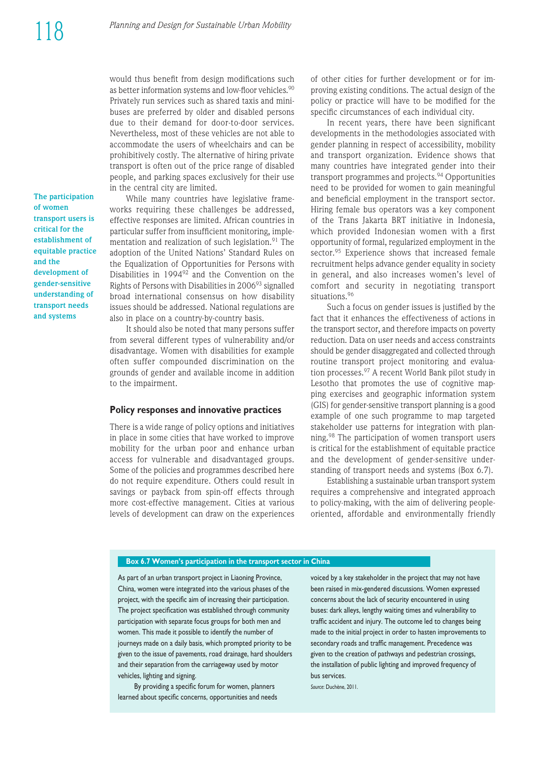would thus benefit from design modifications such as better information systems and low-floor vehicles.<sup>90</sup> Privately run services such as shared taxis and minibuses are preferred by older and disabled persons due to their demand for door-to-door services. Nevertheless, most of these vehicles are not able to accommodate the users of wheelchairs and can be prohibitively costly. The alternative of hiring private trans port is often out of the price range of disabled people, and parking spaces exclusively for their use in the central city are limited.

**The participation of women transport users is critical for the establishment of equitable practice and the development of gender-sensitive understanding of transport needs and systems**

While many countries have legislative frameworks requiring these challenges be addressed, effective responses are limited. African countries in particular suffer from insufficient monitoring, implementation and realization of such legislation.<sup>91</sup> The adoption of the United Nations' Standard Rules on the Equalization of Opportunities for Persons with Disabilities in 1994<sup>92</sup> and the Convention on the Rights of Persons with Disabilities in 2006<sup>93</sup> signalled broad international consensus on how disability issues should be addressed. National regulations are also in place on a country-by-country basis.

It should also be noted that many persons suffer from several different types of vulnerability and/or disadvantage. Women with disabilities for example often suffer compounded discrimination on the grounds of gender and available income in addition to the impairment.

#### **Policy responses and innovative practices**

There is a wide range of policy options and initiatives in place in some cities that have worked to improve mobility for the urban poor and enhance urban access for vulnerable and disadvantaged groups. Some of the policies and programmes described here do not require expenditure. Others could result in savings or payback from spin-off effects through more cost-effective management. Cities at various levels of development can draw on the experiences of other cities for further development or for improving existing conditions. The actual design of the policy or practice will have to be modified for the specific circumstances of each individual city.

In recent years, there have been significant developments in the methodologies associated with gender planning in respect of accessibility, mobility and transport organization. Evidence shows that many countries have integrated gender into their transport programmes and projects.<sup>94</sup> Opportunities need to be provided for women to gain meaningful and beneficial employment in the transport sector. Hiring female bus operators was a key component of the Trans Jakarta BRT initiative in Indonesia, which provided Indonesian women with a first opportunity of formal, regularized employment in the sector.<sup>95</sup> Experience shows that increased female recruitment helps advance gender equality in society in general, and also increases women's level of comfort and security in negotiating transport situations.<sup>96</sup>

Such a focus on gender issues is justified by the fact that it enhances the effectiveness of actions in the transport sector, and therefore impacts on poverty reduction. Data on user needs and access constraints should be gender disaggregated and collected through routine transport project monitoring and evaluation processes.97 A recent World Bank pilot study in Lesotho that promotes the use of cognitive mapping exercises and geographic information system (GIS) for gender-sensitive transport planning is a good example of one such programme to map targeted stakeholder use patterns for integration with planning.<sup>98</sup> The participation of women transport users is critical for the establishment of equitable practice and the development of gender-sensitive understanding of transport needs and systems (Box 6.7).

Establishing a sustainable urban transport system requires a comprehensive and integrated approach to policy-making, with the aim of delivering peopleoriented, affordable and environmentally friendly

#### **Box 6.7 Women's participation in the transport sector in China**

As part of an urban transport project in Liaoning Province, China, women were integrated into the various phases of the project, with the specific aim of increasing their participation. The project specification was established through community participation with separate focus groups for both men and women. This made it possible to identify the number of journeys made on a daily basis, which prompted priority to be given to the issue of pavements, road drainage, hard shoulders and their separation from the carriageway used by motor vehicles, lighting and signing.

By providing a specific forum for women, planners learned about specific concerns, opportunities and needs voiced by a key stakeholder in the project that may not have been raised in mix-gendered discussions. Women expressed concerns about the lack of security encountered in using buses: dark alleys, lengthy waiting times and vulnerability to traffic accident and injury. The outcome led to changes being made to the initial project in order to hasten improvements to secondary roads and traffic management. Precedence was given to the creation of pathways and pedestrian crossings, the installation of public lighting and improved frequency of bus services.

*Source*: Duchène, 2011.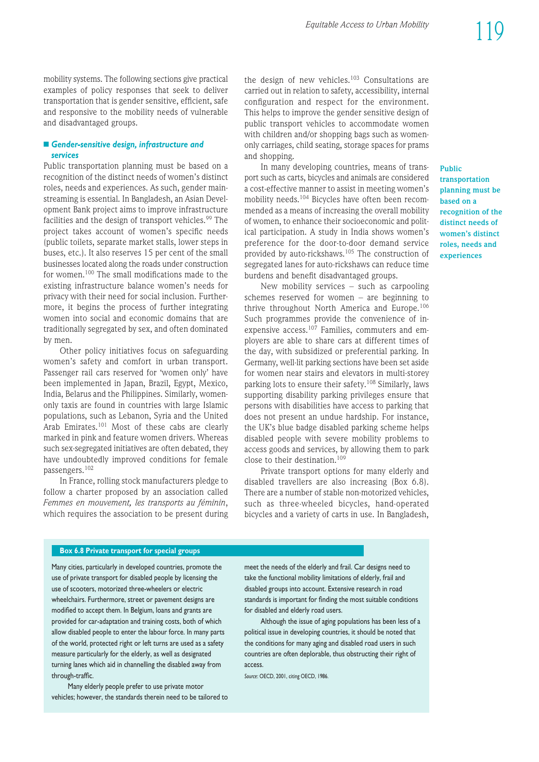mobility systems. The following sections give practical examples of policy responses that seek to deliver transportation that is gender sensitive, efficient, safe and responsive to the mobility needs of vulnerable and disadvantaged groups.

#### **n Gender-sensitive design, infrastructure and** *services*

Public transportation planning must be based on a recognition of the distinct needs of women's distinct roles, needs and experiences. As such, gender mainstreaming is essential. In Bangladesh, an Asian Devel opment Bank project aims to improve infrastructure facilities and the design of transport vehicles.<sup>99</sup> The project takes account of women's specific needs (public toilets, separate market stalls, lower steps in buses, etc.). It also reserves 15 per cent of the small businesses located along the roads under construction for women.100 The small modifications made to the existing infrastructure balance women's needs for privacy with their need for social inclusion. Further more, it begins the process of further integrating women into social and economic domains that are traditionally segregated by sex, and often dominated by men.

Other policy initiatives focus on safeguarding women's safety and comfort in urban transport. Passenger rail cars reserved for 'women only' have been implemented in Japan, Brazil, Egypt, Mexico, India, Belarus and the Philippines. Similarly, womenonly taxis are found in countries with large Islamic populations, such as Lebanon, Syria and the United Arab Emirates.<sup>101</sup> Most of these cabs are clearly marked in pink and feature women drivers. Whereas such sex-segregated initiatives are often debated, they have undoubtedly improved conditions for female passengers.<sup>102</sup>

In France, rolling stock manufacturers pledge to follow a charter proposed by an association called *Femmes en mouvement, les transports au féminin*, which requires the association to be present during the design of new vehicles.<sup>103</sup> Consultations are carried out in relation to safety, accessibility, internal configuration and respect for the environment. This helps to improve the gender sensitive design of public transport vehicles to accommodate women with children and/or shopping bags such as womenonly carriages, child seating, storage spaces for prams and shopping.

In many developing countries, means of transport such as carts, bicycles and animals are considered a cost-effective manner to assist in meeting women's mobility needs.<sup>104</sup> Bicycles have often been recommended as a means of increasing the overall mobility of women, to enhance their socioeconomic and political participation. A study in India shows women's preference for the door-to-door demand service provided by auto-rickshaws.105 The construction of segregated lanes for auto-rickshaws can reduce time burdens and benefit disadvantaged groups.

New mobility services – such as carpooling schemes reserved for women – are beginning to thrive throughout North America and Europe.<sup>106</sup> Such programmes provide the convenience of inexpensive access.<sup>107</sup> Families, commuters and employers are able to share cars at different times of the day, with subsidized or preferential parking. In Germany, well-lit parking sections have been set aside for women near stairs and elevators in multi-storey parking lots to ensure their safety.<sup>108</sup> Similarly, laws supporting disability parking privileges ensure that persons with disabilities have access to parking that does not present an undue hardship. For instance, the UK's blue badge disabled parking scheme helps disabled people with severe mobility problems to access goods and services, by allowing them to park close to their destination.<sup>109</sup>

Private transport options for many elderly and disabled travellers are also increasing (Box 6.8). There are a number of stable non-motorized vehicles, such as three-wheeled bicycles, hand-operated bicycles and a variety of carts in use. In Bangladesh,

### **Public transportation planning must be based on a recognition of the distinct needs of women's distinct roles, needs and experiences**

**Box 6.8 Private transport for special groups** 

Many cities, particularly in developed countries, promote the use of private transport for disabled people by licensing the use of scooters, motorized three-wheelers or electric wheelchairs. Furthermore, street or pavement designs are modified to accept them. In Belgium, loans and grants are provided for car-adaptation and training costs, both of which allow disabled people to enter the labour force. In many parts of the world, protected right or left turns are used as a safety measure particularly for the elderly, as well as designated turning lanes which aid in channelling the disabled away from through-traffic.

Many elderly people prefer to use private motor vehicles; however, the standards therein need to be tailored to meet the needs of the elderly and frail. Car designs need to take the functional mobility limitations of elderly, frail and disabled groups into account. Extensive research in road standards is important for finding the most suitable conditions for disabled and elderly road users.

Although the issue of aging populations has been less of a political issue in developing countries, it should be noted that the conditions for many aging and disabled road users in such countries are often deplorable, thus obstructing their right of access.

*Source*: OECD, 2001, citing OECD, 1986.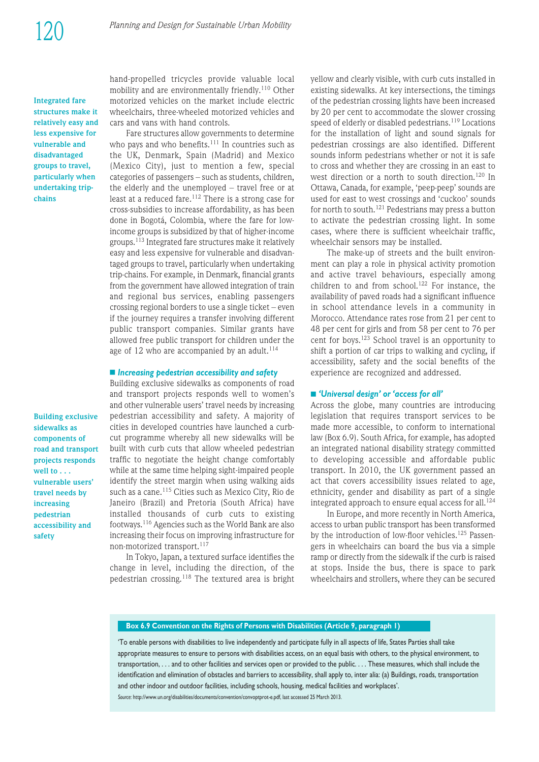**Integrated fare structures make it relatively easy and less expensive for vulnerable and dis advan taged groups to travel, particularly when undertaking tripchains**

**Building exclusive sidewalks as components of road and transport projects responds well to . . . vulnerable users' travel needs by increasing pedestrian accessibility and safety**

hand-propelled tricycles provide valuable local mobility and are environmentally friendly.<sup>110</sup> Other motorized vehicles on the market include electric wheelchairs, three-wheeled motorized vehicles and cars and vans with hand controls.

Fare structures allow governments to determine who pays and who benefits.<sup>111</sup> In countries such as the UK, Denmark, Spain (Madrid) and Mexico (Mexico City), just to mention a few, special categories of passengers – such as students, children, the elderly and the unemployed – travel free or at least at a reduced fare.<sup>112</sup> There is a strong case for cross-subsidies to increase affordability, as has been done in Bogotá, Colombia, where the fare for lowincome groups is subsidized by that of higher-income groups.113 Integrated fare structures make it relatively easy and less expensive for vulnerable and disadvantaged groups to travel, particularly when undertaking trip-chains. For example, in Denmark, financial grants from the government have allowed integration of train and regional bus services, enabling passengers crossing regional borders to use a single ticket – even if the journey requires a transfer involving different public transport companies. Similar grants have allowed free public transport for children under the age of 12 who are accompanied by an adult. $114$ 

#### ■ *Increasing pedestrian accessibility and safety*

Building exclusive sidewalks as components of road and transport projects responds well to women's and other vulnerable users' travel needs by increasing pedestrian accessibility and safety. A majority of cities in developed countries have launched a curbcut programme whereby all new sidewalks will be built with curb cuts that allow wheeled pedestrian traffic to negotiate the height change comfortably while at the same time helping sight-impaired people identify the street margin when using walking aids such as a cane.<sup>115</sup> Cities such as Mexico City, Rio de Janeiro (Brazil) and Pretoria (South Africa) have installed thousands of curb cuts to existing footways.116 Agencies such as the World Bank are also increasing their focus on improving infrastructure for non-motorized transport.<sup>117</sup>

In Tokyo, Japan, a textured surface identifies the change in level, including the direction, of the pedestrian crossing.<sup>118</sup> The textured area is bright yellow and clearly visible, with curb cuts installed in existing sidewalks. At key intersections, the timings of the pedestrian crossing lights have been increased by 20 per cent to accommodate the slower crossing speed of elderly or disabled pedestrians.<sup>119</sup> Locations for the installation of light and sound signals for pedestrian crossings are also identified. Different sounds inform pedestrians whether or not it is safe to cross and whether they are crossing in an east to west direction or a north to south direction.<sup>120</sup> In Ottawa, Canada, for example, 'peep-peep' sounds are used for east to west crossings and 'cuckoo' sounds for north to south.<sup>121</sup> Pedestrians may press a button to activate the pedestrian crossing light. In some cases, where there is sufficient wheelchair traffic, wheelchair sensors may be installed.

The make-up of streets and the built environment can play a role in physical activity promotion and active travel behaviours, especially among children to and from school.<sup>122</sup> For instance, the availability of paved roads had a significant influence in school attendance levels in a community in Morocco. Attendance rates rose from 21 per cent to 48 per cent for girls and from 58 per cent to 76 per cent for boys.123 School travel is an opportunity to shift a portion of car trips to walking and cycling, if accessibility, safety and the social benefits of the experience are recognized and addressed.

#### n *'Universal design' or 'access for all'*

Across the globe, many countries are introducing legislation that requires transport services to be made more accessible, to conform to international law (Box 6.9). South Africa, for example, has adopted an integrated national disability strategy committed to developing accessible and affordable public transport. In 2010, the UK government passed an act that covers accessibility issues related to age, ethnicity, gender and disability as part of a single integrated approach to ensure equal access for all.<sup>124</sup>

In Europe, and more recently in North America, access to urban public transport has been transformed by the introduction of low-floor vehicles.<sup>125</sup> Passengers in wheelchairs can board the bus via a simple ramp or directly from the sidewalk if the curb is raised at stops. Inside the bus, there is space to park wheelchairs and strollers, where they can be secured

#### **Box 6.9 Convention on the Rights of Persons with Disabilities (Article 9, paragraph 1)**

'To enable persons with disabilities to live independently and participate fully in all aspects of life, States Parties shall take appropriate measures to ensure to persons with disabilities access, on an equal basis with others, to the physical environment, to transportation, . . . and to other facilities and services open or provided to the public. . . . These measures, which shall include the identification and elimination of obstacles and barriers to accessibility, shall apply to, inter alia: (a) Buildings, roads, transportation and other indoor and outdoor facilities, including schools, housing, medical facilities and workplaces'.

*Source*: http://www.un.org/disabilities/documents/convention/convoptprot-e.pdf, last accessed 25 March 2013.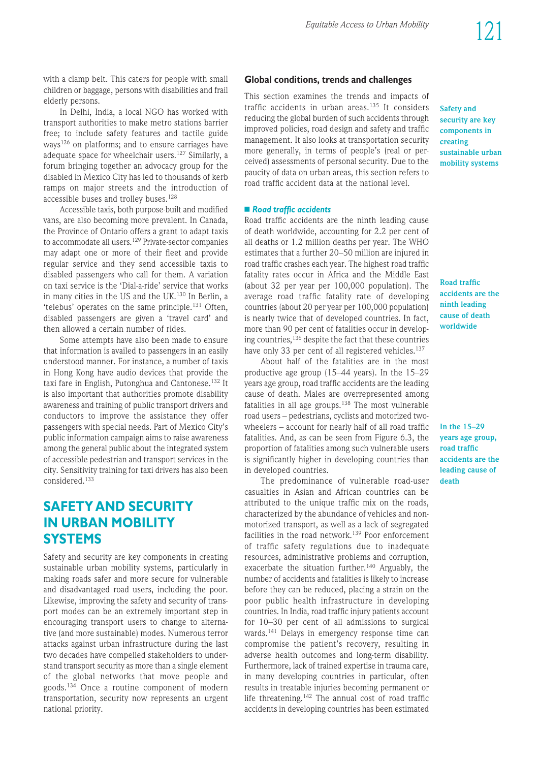with a clamp belt. This caters for people with small children or baggage, persons with disabilities and frail elderly persons.

In Delhi, India, a local NGO has worked with trans port authorities to make metro stations barrier free; to include safety features and tactile guide ways126 on platforms; and to ensure carriages have adequate space for wheelchair users.<sup>127</sup> Similarly, a forum bringing together an advocacy group for the disabled in Mexico City has led to thousands of kerb ramps on major streets and the introduction of accessible buses and trolley buses.<sup>128</sup>

Accessible taxis, both purpose-built and modified vans, are also becoming more prevalent. In Canada, the Province of Ontario offers a grant to adapt taxis to accommodate all users.<sup>129</sup> Private-sector companies may adapt one or more of their fleet and provide regular service and they send accessible taxis to disabled passengers who call for them. A variation on taxi service is the 'Dial-a-ride' service that works in many cities in the US and the UK.<sup>130</sup> In Berlin, a 'telebus' operates on the same principle.131 Often, disabled passengers are given a 'travel card' and then allowed a certain number of rides.

Some attempts have also been made to ensure that information is availed to passengers in an easily understood manner. For instance, a number of taxis in Hong Kong have audio devices that provide the taxi fare in English, Putonghua and Cantonese.<sup>132</sup> It is also important that authorities promote disability awareness and training of public transport drivers and conductors to improve the assistance they offer passengers with special needs. Part of Mexico City's public information campaign aims to raise awareness among the general public about the integrated system of accessible pedestrian and trans port services in the city. Sensitivity training for taxi drivers has also been considered.133

# **SAFETY AND SECURITY IN URBAN MOBILITY SYSTEMS**

Safety and security are key components in creating sustainable urban mobility systems, particularly in making roads safer and more secure for vulnerable and disadvantaged road users, including the poor. Likewise, improving the safety and security of transport modes can be an extremely important step in encouraging transport users to change to alternative (and more sustainable) modes. Numerous terror attacks against urban infrastructure during the last two decades have compelled stakeholders to understand transport security as more than a single element of the global networks that move people and goods.134 Once a routine component of modern trans portation, security now represents an urgent national priority.

#### **Global conditions, trends and challenges**

This section examines the trends and impacts of traffic accidents in urban areas.<sup>135</sup> It considers reducing the global burden of such accidents through improved policies, road design and safety and traffic management. It also looks at transportation security more generally, in terms of people's (real or perceived) assessments of personal security. Due to the paucity of data on urban areas, this section refers to road traffic accident data at the national level.

#### ■ Road traffic accidents

Road traffic accidents are the ninth leading cause of death worldwide, accounting for 2.2 per cent of all deaths or 1.2 million deaths per year. The WHO estimates that a further 20–50 million are injured in road traffic crashes each year. The highest road traffic fatality rates occur in Africa and the Middle East (about 32 per year per 100,000 population). The average road traffic fatality rate of developing countries (about 20 per year per 100,000 population) is nearly twice that of developed countries. In fact, more than 90 per cent of fatalities occur in developing countries,136 despite the fact that these countries have only 33 per cent of all registered vehicles.<sup>137</sup>

About half of the fatalities are in the most productive age group (15–44 years). In the 15–29 years age group, road traffic accidents are the leading cause of death. Males are overrepresented among fatalities in all age groups.138 The most vulnerable road users – pedestrians, cyclists and motorized twowheelers – account for nearly half of all road traffic fatalities. And, as can be seen from Figure 6.3, the proportion of fatalities among such vulnerable users is significantly higher in developing countries than in developed countries.

The predominance of vulnerable road-user casualties in Asian and African countries can be attributed to the unique traffic mix on the roads, characterized by the abundance of vehicles and nonmotorized transport, as well as a lack of segregated facilities in the road network.<sup>139</sup> Poor enforcement of traffic safety regulations due to inadequate resources, administrative problems and corruption, exacerbate the situation further.<sup>140</sup> Arguably, the number of accidents and fatalities is likely to increase before they can be reduced, placing a strain on the poor public health infrastructure in developing countries. In India, road traffic injury patients account for 10–30 per cent of all admissions to surgical wards.<sup>141</sup> Delays in emergency response time can compromise the patient's recovery, resulting in adverse health outcomes and long-term disability. Furthermore, lack of trained expertise in trauma care, in many developing countries in particular, often results in treatable injuries becoming permanent or life threatening.<sup>142</sup> The annual cost of road traffic accidents in developing countries has been estimated

**Safety and security are key components in creating sustainable urban mobility systems**

**Road traffic accidents are the ninth leading cause of death worldwide**

**In the 15–29 years age group, road traffic accidents are the leading cause of death**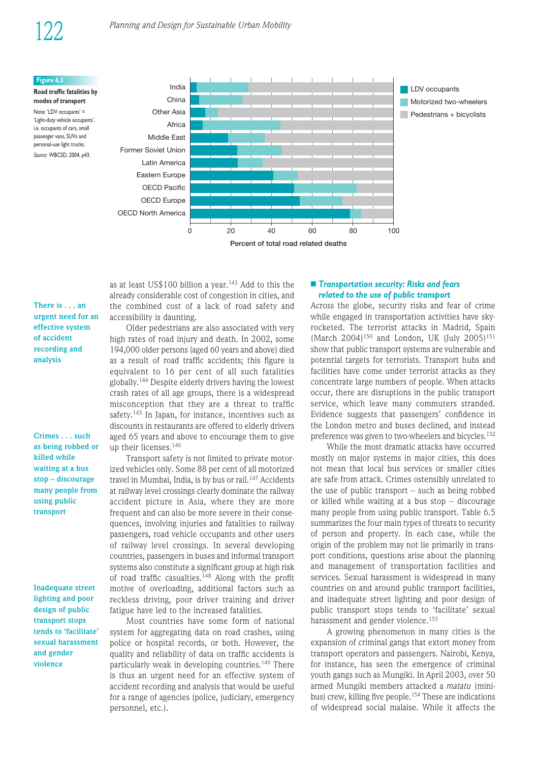India

#### **Figure 6.3**

**Road traffic fatalities by modes of transport** Note: 'LDV occupants' = 'Light-duty vehicle occupants', i.e. occupants of cars, small passenger vans, SUVs and personal-use light trucks.

*Source*: WBCSD, 2004, p43.

China Other Asia Africa Middle East Former Soviet Union Latin America Eastern Europe OECD Pacific OECD Europe OECD North America Motorized two-wheelers  $P$ edestrians + bicyclists 0 20 40 60 80 100 **Percent of total road related deaths**

**There is . . . an urgent need for an effective system of accident recording and analysis**

**Crimes . . . such as being robbed or killed while waiting at a bus stop – discourage many people from using public transport**

**Inadequate street lighting and poor design of public transport stops tends to 'facilitate' sexual harassment and gender violence**

as at least US\$100 billion a year.<sup>143</sup> Add to this the already considerable cost of congestion in cities, and the combined cost of a lack of road safety and accessibility is daunting.

Older pedestrians are also associated with very high rates of road injury and death. In 2002, some 194,000 older persons (aged 60 years and above) died as a result of road traffic accidents; this figure is equivalent to 16 per cent of all such fatalities globally.144 Despite elderly drivers having the lowest crash rates of all age groups, there is a widespread misconception that they are a threat to traffic safety.<sup>145</sup> In Japan, for instance, incentives such as discounts in restaurants are offered to elderly drivers aged 65 years and above to encourage them to give up their licenses.146

Transport safety is not limited to private motorized vehicles only. Some 88 per cent of all motorized travel in Mumbai, India, is by bus or rail.<sup>147</sup> Accidents at railway level crossings clearly dominate the railway accident picture in Asia, where they are more frequent and can also be more severe in their consequences, involving injuries and fatalities to railway passengers, road vehicle occupants and other users of railway level crossings. In several developing countries, passengers in buses and informal transport systems also constitute a significant group at high risk of road traffic casualties.<sup>148</sup> Along with the profit motive of overloading, additional factors such as reckless driving, poor driver training and driver fatigue have led to the increased fatalities.

Most countries have some form of national system for aggregating data on road crashes, using police or hospital records, or both. However, the quality and reliability of data on traffic accidents is particularly weak in developing countries.<sup>149</sup> There is thus an urgent need for an effective system of accident recording and analysis that would be useful for a range of agencies (police, judiciary, emergency personnel, etc.).

#### ■ *Transportation security: Risks and fears related to the use of public transport*

Across the globe, security risks and fear of crime while engaged in transportation activities have skyrocketed. The terrorist attacks in Madrid, Spain  $(March 2004)^{150}$  and London, UK (July 2005)<sup>151</sup> show that public transport systems are vulnerable and potential targets for terrorists. Transport hubs and facilities have come under terrorist attacks as they concentrate large numbers of people. When attacks occur, there are disruptions in the public transport service, which leave many commuters stranded. Evidence suggests that passengers' confidence in the London metro and buses declined, and instead preference was given to two-wheelers and bicycles.<sup>152</sup>

LDV occupants

While the most dramatic attacks have occurred mostly on major systems in major cities, this does not mean that local bus services or smaller cities are safe from attack. Crimes ostensibly unrelated to the use of public transport  $-$  such as being robbed or killed while waiting at a bus stop – discourage many people from using public transport. Table 6.5 summarizes the four main types of threats to security of person and property. In each case, while the origin of the problem may not lie primarily in transport conditions, questions arise about the planning and management of transportation facilities and services. Sexual harassment is widespread in many countries on and around public transport facilities, and inadequate street lighting and poor design of public transport stops tends to 'facilitate' sexual harassment and gender violence.<sup>153</sup>

A growing phenomenon in many cities is the expansion of criminal gangs that extort money from transport operators and passengers. Nairobi, Kenya, for instance, has seen the emergence of criminal youth gangs such as Mungiki. In April 2003, over 50 armed Mungiki members attacked a *matatu* (mini bus) crew, killing five people.<sup>154</sup> These are indications of widespread social malaise. While it affects the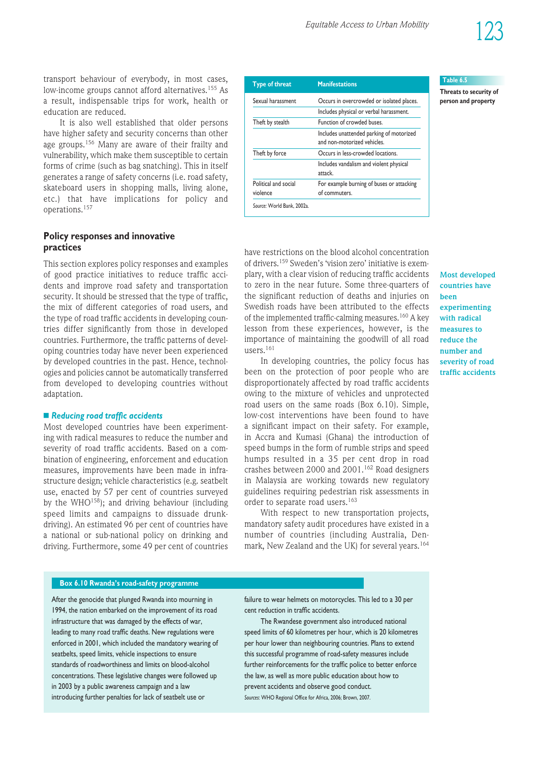trans port behaviour of everybody, in most cases, low-income groups cannot afford alternatives.<sup>155</sup> As a result, indispensable trips for work, health or education are reduced.

It is also well established that older persons have higher safety and security concerns than other age groups.156 Many are aware of their frailty and vulnerability, which make them susceptible to certain forms of crime (such as bag snatching). This in itself generates a range of safety concerns (i.e. road safety, skateboard users in shopping malls, living alone, etc.) that have implications for policy and operations.157

### **Policy responses and innovative practices**

This section explores policy responses and examples of good practice initiatives to reduce traffic accidents and improve road safety and transportation security. It should be stressed that the type of traffic, the mix of different categories of road users, and the type of road traffic accidents in developing countries differ significantly from those in developed countries. Furthermore, the traffic patterns of developing countries today have never been experienced by developed countries in the past. Hence, technologies and policies cannot be automatically transferred from developed to developing countries without adaptation.

#### **■ Reducing road traffic accidents**

Most developed countries have been experimenting with radical measures to reduce the number and severity of road traffic accidents. Based on a combination of engineering, enforcement and education measures, improvements have been made in infrastructure design; vehicle characteristics (e.g. seatbelt use, enacted by 57 per cent of countries surveyed by the WHO<sup>158</sup>); and driving behaviour (including speed limits and campaigns to dissuade drunkdriving). An estimated 96 per cent of countries have a national or sub-national policy on drinking and driving. Furthermore, some 49 per cent of countries

| <b>Type of threat</b>            | <b>Manifestations</b>                                                   |
|----------------------------------|-------------------------------------------------------------------------|
| Sexual harassment                | Occurs in overcrowded or isolated places.                               |
|                                  | Includes physical or verbal harassment.                                 |
| Theft by stealth                 | Function of crowded buses.                                              |
|                                  | Includes unattended parking of motorized<br>and non-motorized vehicles. |
| Theft by force                   | Occurs in less-crowded locations.                                       |
|                                  | Includes vandalism and violent physical<br>attack.                      |
| Political and social<br>violence | For example burning of buses or attacking<br>of commuters.              |
| Source: World Bank, 2002a.       |                                                                         |

#### **Table 6.5**

**Threats to security of person and property**

have restrictions on the blood alcohol concentration of drivers.<sup>159</sup> Sweden's 'vision zero' initiative is exemplary, with a clear vision of reducing traffic accidents to zero in the near future. Some three-quarters of the significant reduction of deaths and injuries on Swedish roads have been attributed to the effects of the implemented traffic-calming measures.<sup>160</sup> A key lesson from these experiences, however, is the importance of maintaining the goodwill of all road users.161

In developing countries, the policy focus has been on the protection of poor people who are disproportionately affected by road traffic accidents owing to the mixture of vehicles and unprotected road users on the same roads (Box 6.10). Simple, low-cost interventions have been found to have a significant impact on their safety. For example, in Accra and Kumasi (Ghana) the introduction of speed bumps in the form of rumble strips and speed humps resulted in a 35 per cent drop in road crashes between 2000 and 2001.162 Road designers in Malaysia are working towards new regulatory guidelines requiring pedestrian risk assessments in order to separate road users.<sup>163</sup>

With respect to new transportation projects, mandatory safety audit procedures have existed in a number of countries (including Australia, Denmark, New Zealand and the UK) for several years.<sup>164</sup>

**Most developed countries have been experimenting with radical measures to reduce the number and severity of road traffic accidents**

**Box 6.10 Rwanda's road-safety programme**

After the genocide that plunged Rwanda into mourning in 1994, the nation embarked on the improvement of its road infrastructure that was damaged by the effects of war, leading to many road traffic deaths. New regulations were enforced in 2001, which included the mandatory wearing of seatbelts, speed limits, vehicle inspections to ensure standards of roadworthiness and limits on blood-alcohol concentrations. These legislative changes were followed up in 2003 by a public awareness campaign and a law introducing further penalties for lack of seatbelt use or

failure to wear helmets on motorcycles. This led to a 30 per cent reduction in traffic accidents.

The Rwandese government also introduced national speed limits of 60 kilometres per hour, which is 20 kilometres per hour lower than neighbouring countries. Plans to extend this successful programme of road-safety measures include further reinforcements for the traffic police to better enforce the law, as well as more public education about how to prevent accidents and observe good conduct. *Sources*: WHO Regional Office for Africa, 2006; Brown, 2007.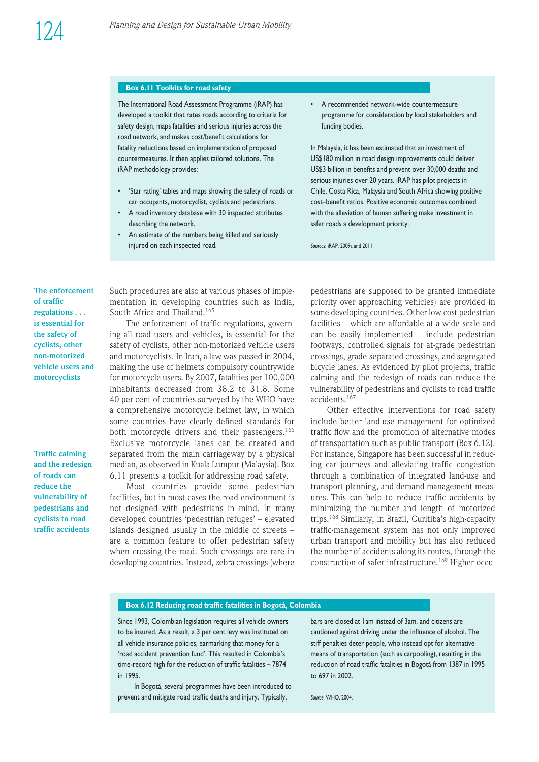#### **Box 6.11 Toolkits for road safety**

The International Road Assessment Programme (iRAP) has developed a toolkit that rates roads according to criteria for safety design, maps fatalities and serious injuries across the road network, and makes cost/benefit calculations for fatality reductions based on implementation of proposed countermeasures. It then applies tailored solutions. The iRAP methodology provides:

- 'Star rating' tables and maps showing the safety of roads or car occupants, motorcyclist, cyclists and pedestrians.
- A road inventory database with 30 inspected attributes describing the network.
- An estimate of the numbers being killed and seriously injured on each inspected road.

• A recommended network-wide countermeasure programme for consideration by local stakeholders and funding bodies.

In Malaysia, it has been estimated that an investment of US\$180 million in road design improvements could deliver US\$3 billion in benefits and prevent over 30,000 deaths and serious injuries over 20 years. iRAP has pilot projects in Chile, Costa Rica, Malaysia and South Africa showing positive cost–benefit ratios. Positive economic outcomes combined with the alleviation of human suffering make investment in safer roads a development priority.

*Sources*: iRAP, 2009a and 2011.

**The enforcement of traffic regulations . . . is essential for the safety of cyclists, other non-motorized vehicle users and motorcyclists**

**Traffic calming and the redesign of roads can reduce the vulnerability of pedestrians and cyclists to road traffic accidents**

Such procedures are also at various phases of implementation in developing countries such as India, South Africa and Thailand.<sup>165</sup>

The enforcement of traffic regulations, governing all road users and vehicles, is essential for the safety of cyclists, other non-motorized vehicle users and motorcyclists. In Iran, a law was passed in 2004, making the use of helmets compulsory countrywide for motorcycle users. By 2007, fatalities per 100,000 inhabitants decreased from 38.2 to 31.8. Some 40 per cent of countries surveyed by the WHO have a comprehensive motorcycle helmet law, in which some countries have clearly defined standards for both motorcycle drivers and their passengers.<sup>166</sup> Exclusive motorcycle lanes can be created and separated from the main carriageway by a physical median, as observed in Kuala Lumpur (Malaysia). Box 6.11 presents a toolkit for addressing road safety.

Most countries provide some pedestrian facilities, but in most cases the road environment is not designed with pedestrians in mind. In many developed countries 'pedestrian refuges' – elevated islands designed usually in the middle of streets – are a common feature to offer pedestrian safety when crossing the road. Such crossings are rare in developing countries. Instead, zebra crossings (where

pedestrians are supposed to be granted immediate priority over approaching vehicles) are provided in some developing countries. Other low-cost pedestrian facilities – which are affordable at a wide scale and can be easily implemented – include pedestrian footways, controlled signals for at-grade pedestrian crossings, grade-separated crossings, and segregated bicycle lanes. As evidenced by pilot projects, traffic calming and the redesign of roads can reduce the vulnerability of pedestrians and cyclists to road traffic accidents.167

Other effective interventions for road safety include better land-use management for optimized traffic flow and the promotion of alternative modes of transportation such as public transport (Box 6.12). For instance, Singapore has been successful in reducing car journeys and alleviating traffic congestion through a combination of integrated land-use and transport planning, and demand-management measures. This can help to reduce traffic accidents by minimizing the number and length of motorized trips.168 Similarly, in Brazil, Curitiba's high-capacity traffic-management system has not only improved urban transport and mobility but has also reduced the number of accidents along its routes, through the construction of safer infrastructure.<sup>169</sup> Higher occu-

#### **Box 6.12 Reducing road traffic fatalities in Bogotá, Colombia**

Since 1993, Colombian legislation requires all vehicle owners to be insured. As a result, a 3 per cent levy was instituted on all vehicle insurance policies, earmarking that money for a 'road accident prevention fund'. This resulted in Colombia's time-record high for the reduction of traffic fatalities – 7874 in 1995.

In Bogotá, several programmes have been introduced to prevent and mitigate road traffic deaths and injury. Typically,

bars are closed at 1am instead of 3am, and citizens are cautioned against driving under the influence of alcohol. The stiff penalties deter people, who instead opt for alternative means of transportation (such as carpooling), resulting in the reduction of road traffic fatalities in Bogotá from 1387 in 1995 to 697 in 2002.

*Source*: WHO, 2004.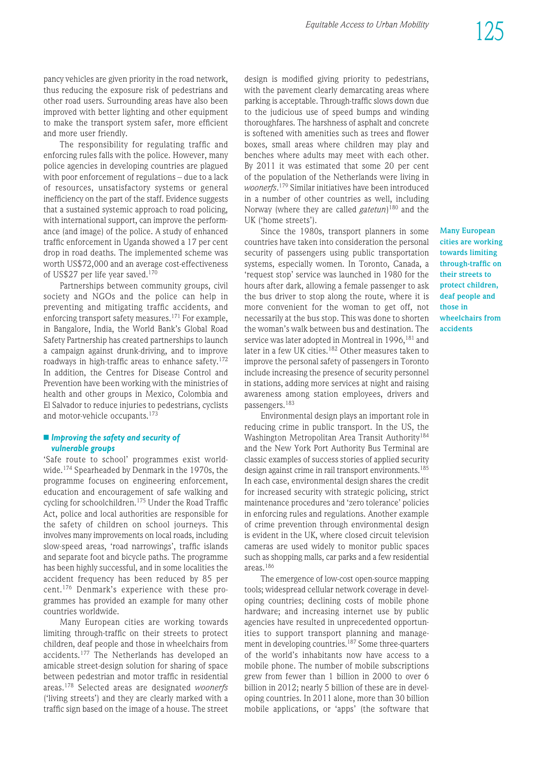pancy vehicles are given priority in the road network, thus reducing the exposure risk of pedestrians and other road users. Surrounding areas have also been improved with better lighting and other equipment to make the transport system safer, more efficient and more user friendly.

The responsibility for regulating traffic and enforcing rules falls with the police. However, many police agencies in developing countries are plagued with poor enforcement of regulations – due to a lack of resources, unsatisfactory systems or general inefficiency on the part of the staff. Evidence suggests that a sustained systemic approach to road policing, with international support, can improve the performance (and image) of the police. A study of enhanced traffic enforcement in Uganda showed a 17 per cent drop in road deaths. The implemented scheme was worth US\$72,000 and an average cost-effectiveness of US\$27 per life year saved.170

Partnerships between community groups, civil society and NGOs and the police can help in preventing and mitigating traffic accidents, and enforcing transport safety measures.<sup>171</sup> For example, in Bangalore, India, the World Bank's Global Road Safety Partnership has created partnerships to launch a campaign against drunk-driving, and to improve roadways in high-traffic areas to enhance safety.<sup>172</sup> In addition, the Centres for Disease Control and Prevention have been working with the ministries of health and other groups in Mexico, Colombia and El Salvador to reduce injuries to pedestrians, cyclists and motor-vehicle occupants.<sup>173</sup>

#### n *Improving the safety and security of vulnerable groups*

'Safe route to school' programmes exist worldwide.174 Spearheaded by Denmark in the 1970s, the programme focuses on engineering enforcement, education and encouragement of safe walking and cycling for schoolchildren.175 Under the Road Traffic Act, police and local authorities are responsible for the safety of children on school journeys. This involves many improvements on local roads, including slow-speed areas, 'road narrowings', traffic islands and separate foot and bicycle paths. The programme has been highly successful, and in some localities the accident frequency has been reduced by 85 per cent.<sup>176</sup> Denmark's experience with these programmes has provided an example for many other countries worldwide.

Many European cities are working towards limiting through-traffic on their streets to protect children, deaf people and those in wheelchairs from accidents.177 The Netherlands has developed an amicable street-design solution for sharing of space between pedestrian and motor traffic in residential areas.178 Selected areas are designated *woonerfs* ('living streets') and they are clearly marked with a traffic sign based on the image of a house. The street

design is modified giving priority to pedestrians, with the pavement clearly demarcating areas where parking is acceptable. Through-traffic slows down due to the judicious use of speed bumps and winding thoroughfares. The harshness of asphalt and concrete is softened with amenities such as trees and flower boxes, small areas where children may play and benches where adults may meet with each other. By 2011 it was estimated that some 20 per cent of the population of the Netherlands were living in *woonerfs*. <sup>179</sup> Similar initiatives have been introduced in a number of other countries as well, including Norway (where they are called *gatetun*) <sup>180</sup> and the UK ('home streets').

Since the 1980s, transport planners in some countries have taken into consideration the personal security of passengers using public transportation systems, especially women. In Toronto, Canada, a 'request stop' service was launched in 1980 for the hours after dark, allowing a female passenger to ask the bus driver to stop along the route, where it is more convenient for the woman to get off, not neces sarily at the bus stop. This was done to shorten the woman's walk between bus and destination. The service was later adopted in Montreal in 1996, <sup>181</sup> and later in a few UK cities.<sup>182</sup> Other measures taken to improve the personal safety of passengers in Toronto include increasing the presence of security personnel in stations, adding more services at night and raising awareness among station employees, drivers and passengers.<sup>183</sup>

Environ mental design plays an important role in reducing crime in public transport. In the US, the Washington Metropolitan Area Transit Authority<sup>184</sup> and the New York Port Authority Bus Terminal are classic examples of success stories of applied security design against crime in rail transport environments.<sup>185</sup> In each case, environ mental design shares the credit for increased security with strategic policing, strict maintenance procedures and 'zero tolerance' policies in enforcing rules and regulations. Another example of crime prevention through environmental design is evident in the UK, where closed circuit television cameras are used widely to monitor public spaces such as shopping malls, car parks and a few residential areas.186

The emergence of low-cost open-source mapping tools; widespread cellular network coverage in developing countries; declining costs of mobile phone hardware; and increasing internet use by public agencies have resulted in unprecedented opportunities to support transport planning and management in developing countries.<sup>187</sup> Some three-quarters of the world's inhabitants now have access to a mobile phone. The number of mobile subscriptions grew from fewer than 1 billion in 2000 to over 6 billion in 2012; nearly 5 billion of these are in developing countries. In 2011 alone, more than 30 billion mobile applications, or 'apps' (the software that **Many European cities are working towards limiting through-traffic on their streets to protect children, deaf people and those in wheelchairs from accidents**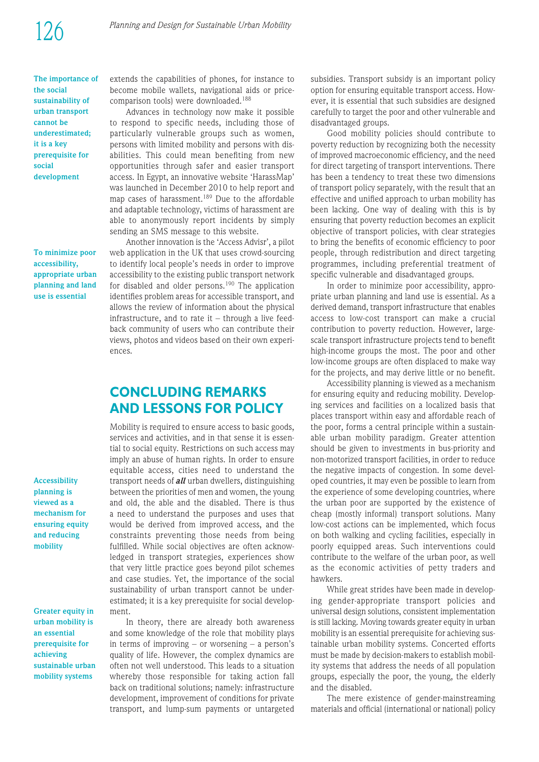**The importance of the social sustainability of urban transport cannot be underestimated; it is a key prerequisite for social development**

**To minimize poor accessibility, appropriate urban planning and land use is essential**

**Accessibility planning is viewed as a mechanism for ensuring equity and reducing mobility**

**Greater equity in urban mobility is an essential prerequisite for achieving sustainable urban mobility systems**

extends the capabilities of phones, for instance to become mobile wallets, navigational aids or pricecomparison tools) were downloaded.188

Advances in technology now make it possible to respond to specific needs, including those of particularly vulnerable groups such as women, persons with limited mobility and persons with disabilities. This could mean benefiting from new opportunities through safer and easier transport access. In Egypt, an innovative website 'HarassMap' was launched in December 2010 to help report and map cases of harassment.<sup>189</sup> Due to the affordable and adaptable technology, victims of harassment are able to anonymously report incidents by simply sending an SMS message to this website.

Another innovation is the 'Access Advisr', a pilot web application in the UK that uses crowd-sourcing to identify local people's needs in order to improve accessibility to the existing public transport network for disabled and older persons.<sup>190</sup> The application identifies problem areas for accessible transport, and allows the review of information about the physical infrastructure, and to rate it  $-$  through a live feedback community of users who can contribute their views, photos and videos based on their own experiences.

# **CONCLUDING REMARKS AND LESSONS FOR POLICY**

Mobility is required to ensure access to basic goods, services and activities, and in that sense it is essential to social equity. Restrictions on such access may imply an abuse of human rights. In order to ensure equitable access, cities need to understand the trans port needs of *all* urban dwellers, distinguishing between the priorities of men and women, the young and old, the able and the disabled. There is thus a need to understand the purposes and uses that would be derived from improved access, and the constraints preventing those needs from being fulfilled. While social objectives are often acknowledged in transport strategies, experiences show that very little practice goes beyond pilot schemes and case studies. Yet, the importance of the social sustainability of urban transport cannot be underestimated; it is a key prerequisite for social development.

In theory, there are already both awareness and some knowledge of the role that mobility plays in terms of improving – or worsening – a person's quality of life. However, the complex dynamics are often not well understood. This leads to a situation whereby those responsible for taking action fall back on traditional solutions; namely: infrastructure development, improvement of conditions for private transport, and lump-sum payments or untargeted subsidies. Transport subsidy is an important policy option for ensuring equitable transport access. However, it is essential that such subsidies are designed carefully to target the poor and other vulnerable and disadvantaged groups.

Good mobility policies should contribute to poverty reduction by recognizing both the necessity of improved macroeconomic efficiency, and the need for direct targeting of transport interventions. There has been a tendency to treat these two dimensions of transport policy separately, with the result that an effective and unified approach to urban mobility has been lacking. One way of dealing with this is by ensuring that poverty reduction becomes an explicit objective of transport policies, with clear strategies to bring the benefits of economic efficiency to poor people, through redistribution and direct targeting programmes, including preferential treatment of specific vulnerable and disadvantaged groups.

In order to minimize poor accessibility, appropriate urban planning and land use is essential. As a derived demand, transport infrastructure that enables access to low-cost transport can make a crucial contribution to poverty reduction. However, largescale transport infrastructure projects tend to benefit high-income groups the most. The poor and other low-income groups are often displaced to make way for the projects, and may derive little or no benefit.

Accessibility planning is viewed as a mechanism for ensuring equity and reducing mobility. Developing services and facilities on a localized basis that places transport within easy and affordable reach of the poor, forms a central principle within a sustainable urban mobility paradigm. Greater attention should be given to investments in bus-priority and non-motorized transport facilities, in order to reduce the negative impacts of congestion. In some developed countries, it may even be possible to learn from the experience of some developing countries, where the urban poor are supported by the existence of cheap (mostly informal) transport solutions. Many low-cost actions can be implemented, which focus on both walking and cycling facilities, especially in poorly equipped areas. Such interventions could contribute to the welfare of the urban poor, as well as the economic activities of petty traders and hawkers.

While great strides have been made in developing gender-appropriate transport policies and universal design solutions, consistent implementation is still lacking. Moving towards greater equity in urban mobility is an essential prerequisite for achieving sus tain able urban mobility systems. Concerted efforts must be made by decision-makers to establish mobility systems that address the needs of all population groups, especially the poor, the young, the elderly and the disabled.

The mere existence of gender-mainstreaming materials and official (international or national) policy